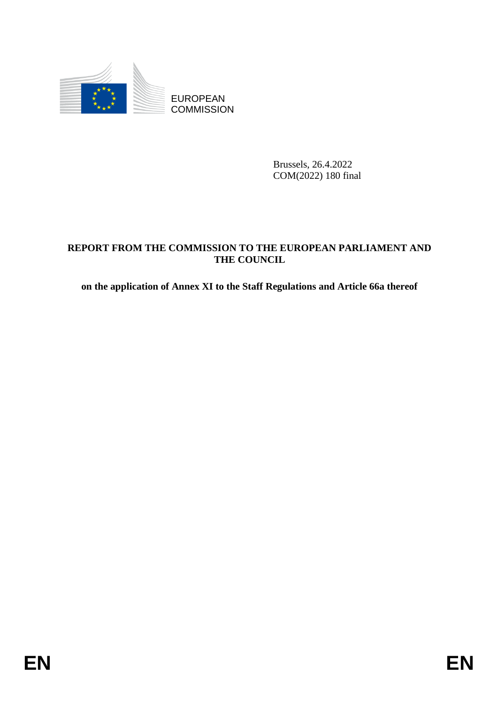

**COMMISSION** 

Brussels, 26.4.2022 COM(2022) 180 final

# EXAMPLE ENDINEERS COMMISSION<br>
ENTREASA 2012<br>
COMMISSION<br>
ENEPORT FROM THE COMMISSION TO THE EUROPEAN PARLIAMENT AND<br>
THE COLNCIL.<br>
on the application of Amer XI to the Staff Regulations and Article 66a thereof<br>
FIN **REPORT FROM THE COMMISSION TO THE EUROPEAN PARLIAMENT AND THE COUNCIL**

**on the application of Annex XI to the Staff Regulations and Article 66a thereof**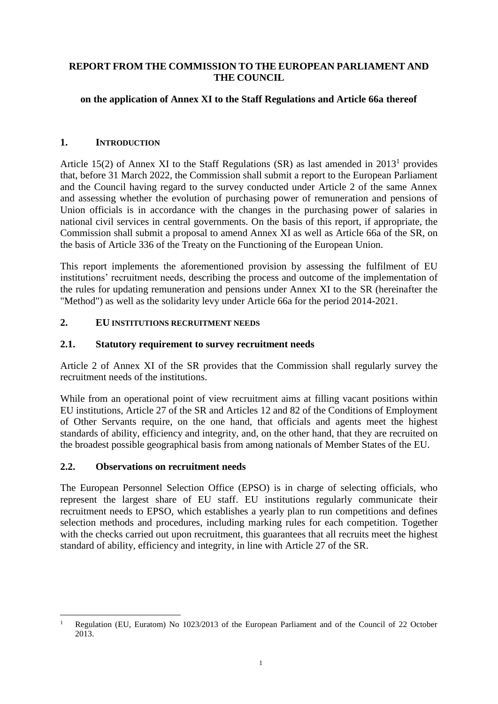## **REPORT FROM THE COMMISSION TO THE EUROPEAN PARLIAMENT AND THE COUNCIL**

## **on the application of Annex XI to the Staff Regulations and Article 66a thereof**

## **1. INTRODUCTION**

Article 15(2) of Annex XI to the Staff Regulations  $(SR)$  as last amended in 2013<sup>1</sup> provides that, before 31 March 2022, the Commission shall submit a report to the European Parliament and the Council having regard to the survey conducted under Article 2 of the same Annex and assessing whether the evolution of purchasing power of remuneration and pensions of Union officials is in accordance with the changes in the purchasing power of salaries in national civil services in central governments. On the basis of this report, if appropriate, the Commission shall submit a proposal to amend Annex XI as well as Article 66a of the SR, on the basis of Article 336 of the Treaty on the Functioning of the European Union.

This report implements the aforementioned provision by assessing the fulfilment of EU institutions' recruitment needs, describing the process and outcome of the implementation of the rules for updating remuneration and pensions under Annex XI to the SR (hereinafter the "Method") as well as the solidarity levy under Article 66a for the period 2014-2021.

#### **2. EU INSTITUTIONS RECRUITMENT NEEDS**

#### **2.1. Statutory requirement to survey recruitment needs**

Article 2 of Annex XI of the SR provides that the Commission shall regularly survey the recruitment needs of the institutions.

While from an operational point of view recruitment aims at filling vacant positions within EU institutions, Article 27 of the SR and Articles 12 and 82 of the Conditions of Employment of Other Servants require, on the one hand, that officials and agents meet the highest standards of ability, efficiency and integrity, and, on the other hand, that they are recruited on the broadest possible geographical basis from among nationals of Member States of the EU.

## **2.2. Observations on recruitment needs**

1

The European Personnel Selection Office (EPSO) is in charge of selecting officials, who represent the largest share of EU staff. EU institutions regularly communicate their recruitment needs to EPSO, which establishes a yearly plan to run competitions and defines selection methods and procedures, including marking rules for each competition. Together with the checks carried out upon recruitment, this guarantees that all recruits meet the highest standard of ability, efficiency and integrity, in line with Article 27 of the SR.

<sup>1</sup> Regulation (EU, Euratom) No 1023/2013 of the European Parliament and of the Council of 22 October 2013.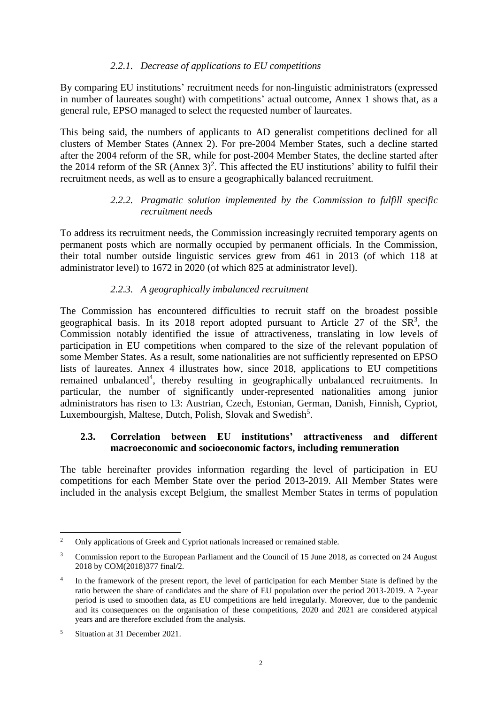## *2.2.1. Decrease of applications to EU competitions*

By comparing EU institutions' recruitment needs for non-linguistic administrators (expressed in number of laureates sought) with competitions' actual outcome, Annex 1 shows that, as a general rule, EPSO managed to select the requested number of laureates.

This being said, the numbers of applicants to AD generalist competitions declined for all clusters of Member States (Annex 2). For pre-2004 Member States, such a decline started after the 2004 reform of the SR, while for post-2004 Member States, the decline started after the 2014 reform of the SR (Annex  $3)^2$ . This affected the EU institutions' ability to fulfil their recruitment needs, as well as to ensure a geographically balanced recruitment.

## *2.2.2. Pragmatic solution implemented by the Commission to fulfill specific recruitment needs*

To address its recruitment needs, the Commission increasingly recruited temporary agents on permanent posts which are normally occupied by permanent officials. In the Commission, their total number outside linguistic services grew from 461 in 2013 (of which 118 at administrator level) to 1672 in 2020 (of which 825 at administrator level).

## *2.2.3. A geographically imbalanced recruitment*

The Commission has encountered difficulties to recruit staff on the broadest possible geographical basis. In its 2018 report adopted pursuant to Article 27 of the  $SR^3$ , the Commission notably identified the issue of attractiveness, translating in low levels of participation in EU competitions when compared to the size of the relevant population of some Member States. As a result, some nationalities are not sufficiently represented on EPSO lists of laureates. Annex 4 illustrates how, since 2018, applications to EU competitions remained unbalanced<sup>4</sup>, thereby resulting in geographically unbalanced recruitments. In particular, the number of significantly under-represented nationalities among junior administrators has risen to 13: Austrian, Czech, Estonian, German, Danish, Finnish, Cypriot, Luxembourgish, Maltese, Dutch, Polish, Slovak and Swedish<sup>5</sup>.

#### **2.3. Correlation between EU institutions' attractiveness and different macroeconomic and socioeconomic factors, including remuneration**

The table hereinafter provides information regarding the level of participation in EU competitions for each Member State over the period 2013-2019. All Member States were included in the analysis except Belgium, the smallest Member States in terms of population

<sup>1</sup> <sup>2</sup> Only applications of Greek and Cypriot nationals increased or remained stable.

<sup>&</sup>lt;sup>3</sup> Commission report to the European Parliament and the Council of 15 June 2018, as corrected on 24 August 2018 by COM(2018)377 final/2.

<sup>4</sup> In the framework of the present report, the level of participation for each Member State is defined by the ratio between the share of candidates and the share of EU population over the period 2013-2019. A 7-year period is used to smoothen data, as EU competitions are held irregularly. Moreover, due to the pandemic and its consequences on the organisation of these competitions, 2020 and 2021 are considered atypical years and are therefore excluded from the analysis.

<sup>5</sup> Situation at 31 December 2021.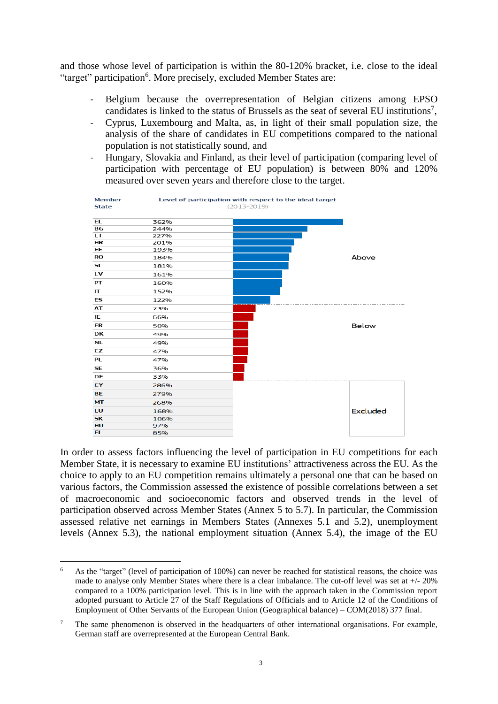and those whose level of participation is within the 80-120% bracket, i.e. close to the ideal "target" participation<sup>6</sup>. More precisely, excluded Member States are:

- Belgium because the overrepresentation of Belgian citizens among EPSO candidates is linked to the status of Brussels as the seat of several EU institutions<sup>7</sup>,
- Cyprus, Luxembourg and Malta, as, in light of their small population size, the analysis of the share of candidates in EU competitions compared to the national population is not statistically sound, and
- Hungary, Slovakia and Finland, as their level of participation (comparing level of participation with percentage of EU population) is between 80% and 120% measured over seven years and therefore close to the target.



In order to assess factors influencing the level of participation in EU competitions for each Member State, it is necessary to examine EU institutions' attractiveness across the EU. As the choice to apply to an EU competition remains ultimately a personal one that can be based on various factors, the Commission assessed the existence of possible correlations between a set of macroeconomic and socioeconomic factors and observed trends in the level of participation observed across Member States (Annex 5 to 5.7). In particular, the Commission assessed relative net earnings in Members States (Annexes 5.1 and 5.2), unemployment levels (Annex 5.3), the national employment situation (Annex 5.4), the image of the EU

1

<sup>&</sup>lt;sup>6</sup> As the "target" (level of participation of 100%) can never be reached for statistical reasons, the choice was made to analyse only Member States where there is a clear imbalance. The cut-off level was set at +/- 20% compared to a 100% participation level. This is in line with the approach taken in the Commission report adopted pursuant to Article 27 of the Staff Regulations of Officials and to Article 12 of the Conditions of Employment of Other Servants of the European Union (Geographical balance) – COM(2018) 377 final.

<sup>&</sup>lt;sup>7</sup> The same phenomenon is observed in the headquarters of other international organisations. For example, German staff are overrepresented at the European Central Bank.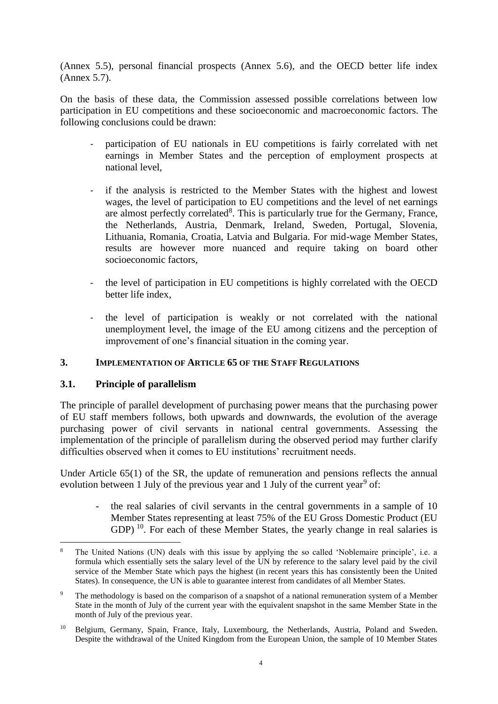(Annex 5.5), personal financial prospects (Annex 5.6), and the OECD better life index (Annex 5.7).

On the basis of these data, the Commission assessed possible correlations between low participation in EU competitions and these socioeconomic and macroeconomic factors. The following conclusions could be drawn:

- participation of EU nationals in EU competitions is fairly correlated with net earnings in Member States and the perception of employment prospects at national level,
- if the analysis is restricted to the Member States with the highest and lowest wages, the level of participation to EU competitions and the level of net earnings are almost perfectly correlated<sup>8</sup>. This is particularly true for the Germany, France, the Netherlands, Austria, Denmark, Ireland, Sweden, Portugal, Slovenia, Lithuania, Romania, Croatia, Latvia and Bulgaria. For mid-wage Member States, results are however more nuanced and require taking on board other socioeconomic factors,
- the level of participation in EU competitions is highly correlated with the OECD better life index,
- the level of participation is weakly or not correlated with the national unemployment level, the image of the EU among citizens and the perception of improvement of one's financial situation in the coming year.

#### **3. IMPLEMENTATION OF ARTICLE 65 OF THE STAFF REGULATIONS**

## **3.1. Principle of parallelism**

The principle of parallel development of purchasing power means that the purchasing power of EU staff members follows, both upwards and downwards, the evolution of the average purchasing power of civil servants in national central governments. Assessing the implementation of the principle of parallelism during the observed period may further clarify difficulties observed when it comes to EU institutions' recruitment needs.

Under Article 65(1) of the SR, the update of remuneration and pensions reflects the annual evolution between 1 July of the previous year and 1 July of the current year<sup>9</sup> of:

the real salaries of civil servants in the central governments in a sample of 10 Member States representing at least 75% of the EU Gross Domestic Product (EU GDP)<sup>10</sup>. For each of these Member States, the yearly change in real salaries is

<sup>1</sup> <sup>8</sup> The United Nations (UN) deals with this issue by applying the so called 'Noblemaire principle', i.e. a formula which essentially sets the salary level of the UN by reference to the salary level paid by the civil service of the Member State which pays the highest (in recent years this has consistently been the United States). In consequence, the UN is able to guarantee interest from candidates of all Member States.

<sup>9</sup> The methodology is based on the comparison of a snapshot of a national remuneration system of a Member State in the month of July of the current year with the equivalent snapshot in the same Member State in the month of July of the previous year.

<sup>&</sup>lt;sup>10</sup> Belgium, Germany, Spain, France, Italy, Luxembourg, the Netherlands, Austria, Poland and Sweden. Despite the withdrawal of the United Kingdom from the European Union, the sample of 10 Member States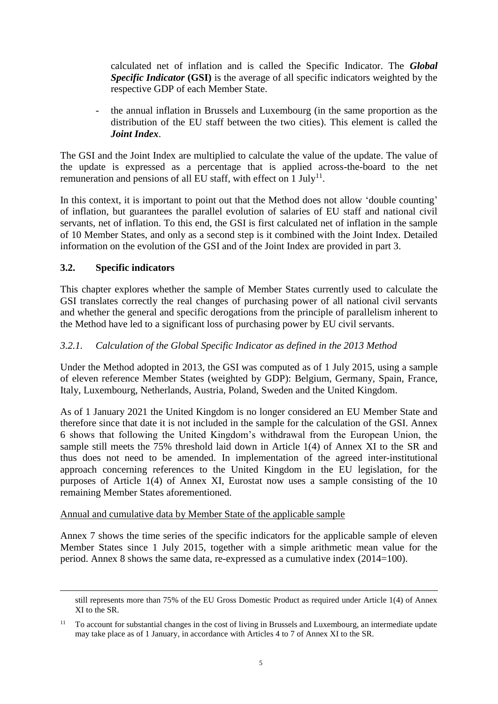calculated net of inflation and is called the Specific Indicator. The *Global Specific Indicator* **(GSI)** is the average of all specific indicators weighted by the respective GDP of each Member State.

- the annual inflation in Brussels and Luxembourg (in the same proportion as the distribution of the EU staff between the two cities). This element is called the *Joint Index*.

The GSI and the Joint Index are multiplied to calculate the value of the update. The value of the update is expressed as a percentage that is applied across-the-board to the net remuneration and pensions of all EU staff, with effect on  $1 \text{ July}^{11}$ .

In this context, it is important to point out that the Method does not allow 'double counting' of inflation, but guarantees the parallel evolution of salaries of EU staff and national civil servants, net of inflation. To this end, the GSI is first calculated net of inflation in the sample of 10 Member States, and only as a second step is it combined with the Joint Index. Detailed information on the evolution of the GSI and of the Joint Index are provided in part 3.

## **3.2. Specific indicators**

<u>.</u>

This chapter explores whether the sample of Member States currently used to calculate the GSI translates correctly the real changes of purchasing power of all national civil servants and whether the general and specific derogations from the principle of parallelism inherent to the Method have led to a significant loss of purchasing power by EU civil servants.

#### *3.2.1. Calculation of the Global Specific Indicator as defined in the 2013 Method*

Under the Method adopted in 2013, the GSI was computed as of 1 July 2015, using a sample of eleven reference Member States (weighted by GDP): Belgium, Germany, Spain, France, Italy, Luxembourg, Netherlands, Austria, Poland, Sweden and the United Kingdom.

As of 1 January 2021 the United Kingdom is no longer considered an EU Member State and therefore since that date it is not included in the sample for the calculation of the GSI. Annex 6 shows that following the United Kingdom's withdrawal from the European Union, the sample still meets the 75% threshold laid down in Article 1(4) of Annex XI to the SR and thus does not need to be amended. In implementation of the agreed inter-institutional approach concerning references to the United Kingdom in the EU legislation, for the purposes of Article 1(4) of Annex XI, Eurostat now uses a sample consisting of the 10 remaining Member States aforementioned.

#### Annual and cumulative data by Member State of the applicable sample

Annex 7 shows the time series of the specific indicators for the applicable sample of eleven Member States since 1 July 2015, together with a simple arithmetic mean value for the period. Annex 8 shows the same data, re-expressed as a cumulative index (2014=100).

still represents more than 75% of the EU Gross Domestic Product as required under Article 1(4) of Annex XI to the SR.

<sup>&</sup>lt;sup>11</sup> To account for substantial changes in the cost of living in Brussels and Luxembourg, an intermediate update may take place as of 1 January, in accordance with Articles 4 to 7 of Annex XI to the SR.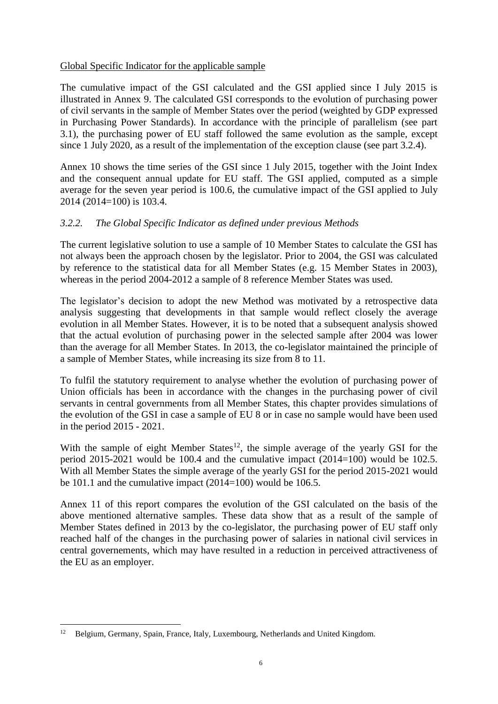## Global Specific Indicator for the applicable sample

The cumulative impact of the GSI calculated and the GSI applied since I July 2015 is illustrated in Annex 9. The calculated GSI corresponds to the evolution of purchasing power of civil servants in the sample of Member States over the period (weighted by GDP expressed in Purchasing Power Standards). In accordance with the principle of parallelism (see part 3.1), the purchasing power of EU staff followed the same evolution as the sample, except since 1 July 2020, as a result of the implementation of the exception clause (see part 3.2.4).

Annex 10 shows the time series of the GSI since 1 July 2015, together with the Joint Index and the consequent annual update for EU staff. The GSI applied, computed as a simple average for the seven year period is 100.6, the cumulative impact of the GSI applied to July 2014 (2014=100) is 103.4.

# *3.2.2. The Global Specific Indicator as defined under previous Methods*

The current legislative solution to use a sample of 10 Member States to calculate the GSI has not always been the approach chosen by the legislator. Prior to 2004, the GSI was calculated by reference to the statistical data for all Member States (e.g. 15 Member States in 2003), whereas in the period 2004-2012 a sample of 8 reference Member States was used.

The legislator's decision to adopt the new Method was motivated by a retrospective data analysis suggesting that developments in that sample would reflect closely the average evolution in all Member States. However, it is to be noted that a subsequent analysis showed that the actual evolution of purchasing power in the selected sample after 2004 was lower than the average for all Member States. In 2013, the co-legislator maintained the principle of a sample of Member States, while increasing its size from 8 to 11.

To fulfil the statutory requirement to analyse whether the evolution of purchasing power of Union officials has been in accordance with the changes in the purchasing power of civil servants in central governments from all Member States, this chapter provides simulations of the evolution of the GSI in case a sample of EU 8 or in case no sample would have been used in the period 2015 - 2021.

With the sample of eight Member States<sup>12</sup>, the simple average of the yearly GSI for the period 2015-2021 would be 100.4 and the cumulative impact (2014=100) would be 102.5. With all Member States the simple average of the yearly GSI for the period 2015-2021 would be 101.1 and the cumulative impact  $(2014=100)$  would be 106.5.

Annex 11 of this report compares the evolution of the GSI calculated on the basis of the above mentioned alternative samples. These data show that as a result of the sample of Member States defined in 2013 by the co-legislator, the purchasing power of EU staff only reached half of the changes in the purchasing power of salaries in national civil services in central governements, which may have resulted in a reduction in perceived attractiveness of the EU as an employer.

<u>.</u>

<sup>&</sup>lt;sup>12</sup> Belgium, Germany, Spain, France, Italy, Luxembourg, Netherlands and United Kingdom.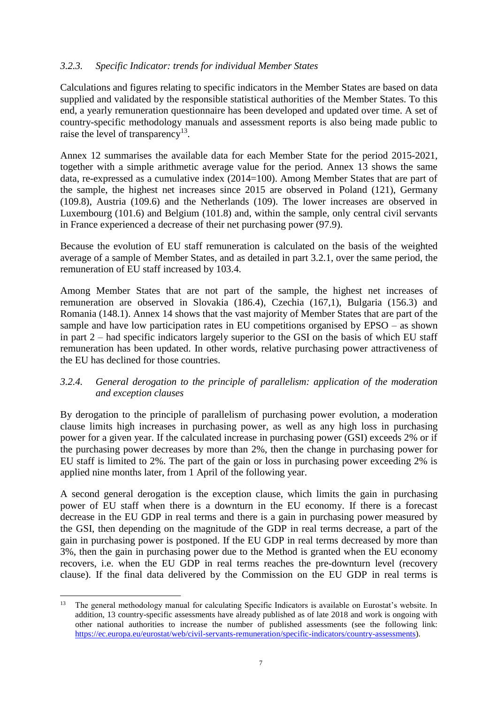## *3.2.3. Specific Indicator: trends for individual Member States*

Calculations and figures relating to specific indicators in the Member States are based on data supplied and validated by the responsible statistical authorities of the Member States. To this end, a yearly remuneration questionnaire has been developed and updated over time. A set of country-specific methodology manuals and assessment reports is also being made public to raise the level of transparency<sup>13</sup>.

Annex 12 summarises the available data for each Member State for the period 2015-2021, together with a simple arithmetic average value for the period. Annex 13 shows the same data, re-expressed as a cumulative index (2014=100). Among Member States that are part of the sample, the highest net increases since 2015 are observed in Poland (121), Germany (109.8), Austria (109.6) and the Netherlands (109). The lower increases are observed in Luxembourg (101.6) and Belgium (101.8) and, within the sample, only central civil servants in France experienced a decrease of their net purchasing power (97.9).

Because the evolution of EU staff remuneration is calculated on the basis of the weighted average of a sample of Member States, and as detailed in part 3.2.1, over the same period, the remuneration of EU staff increased by 103.4.

Among Member States that are not part of the sample, the highest net increases of remuneration are observed in Slovakia (186.4), Czechia (167,1), Bulgaria (156.3) and Romania (148.1). Annex 14 shows that the vast majority of Member States that are part of the sample and have low participation rates in EU competitions organised by EPSO – as shown in part 2 – had specific indicators largely superior to the GSI on the basis of which EU staff remuneration has been updated. In other words, relative purchasing power attractiveness of the EU has declined for those countries.

## *3.2.4. General derogation to the principle of parallelism: application of the moderation and exception clauses*

By derogation to the principle of parallelism of purchasing power evolution, a moderation clause limits high increases in purchasing power, as well as any high loss in purchasing power for a given year. If the calculated increase in purchasing power (GSI) exceeds 2% or if the purchasing power decreases by more than 2%, then the change in purchasing power for EU staff is limited to 2%. The part of the gain or loss in purchasing power exceeding 2% is applied nine months later, from 1 April of the following year.

A second general derogation is the exception clause, which limits the gain in purchasing power of EU staff when there is a downturn in the EU economy. If there is a forecast decrease in the EU GDP in real terms and there is a gain in purchasing power measured by the GSI, then depending on the magnitude of the GDP in real terms decrease, a part of the gain in purchasing power is postponed. If the EU GDP in real terms decreased by more than 3%, then the gain in purchasing power due to the Method is granted when the EU economy recovers, i.e. when the EU GDP in real terms reaches the pre-downturn level (recovery clause). If the final data delivered by the Commission on the EU GDP in real terms is

 $13$ <sup>13</sup> The general methodology manual for calculating Specific Indicators is available on Eurostat's website. In addition, 13 country-specific assessments have already published as of late 2018 and work is ongoing with other national authorities to increase the number of published assessments (see the following link: [https://ec.europa.eu/eurostat/web/civil-servants-remuneration/specific-indicators/country-assessments\)](https://ec.europa.eu/eurostat/web/civil-servants-remuneration/specific-indicators/country-assessments).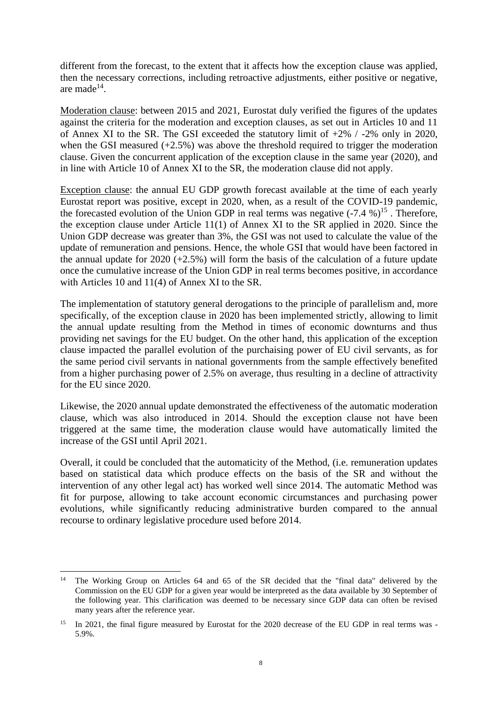different from the forecast, to the extent that it affects how the exception clause was applied, then the necessary corrections, including retroactive adjustments, either positive or negative, are made $^{14}$ .

Moderation clause: between 2015 and 2021, Eurostat duly verified the figures of the updates against the criteria for the moderation and exception clauses, as set out in Articles 10 and 11 of Annex XI to the SR. The GSI exceeded the statutory limit of  $+2\%$  /  $-2\%$  only in 2020, when the GSI measured (+2.5%) was above the threshold required to trigger the moderation clause. Given the concurrent application of the exception clause in the same year (2020), and in line with Article 10 of Annex XI to the SR, the moderation clause did not apply.

Exception clause: the annual EU GDP growth forecast available at the time of each yearly Eurostat report was positive, except in 2020, when, as a result of the COVID-19 pandemic, the forecasted evolution of the Union GDP in real terms was negative  $(-7.4\%)^{15}$ . Therefore, the exception clause under Article 11(1) of Annex XI to the SR applied in 2020. Since the Union GDP decrease was greater than 3%, the GSI was not used to calculate the value of the update of remuneration and pensions. Hence, the whole GSI that would have been factored in the annual update for  $2020 (+2.5%)$  will form the basis of the calculation of a future update once the cumulative increase of the Union GDP in real terms becomes positive, in accordance with Articles 10 and 11(4) of Annex XI to the SR.

The implementation of statutory general derogations to the principle of parallelism and, more specifically, of the exception clause in 2020 has been implemented strictly, allowing to limit the annual update resulting from the Method in times of economic downturns and thus providing net savings for the EU budget. On the other hand, this application of the exception clause impacted the parallel evolution of the purchaising power of EU civil servants, as for the same period civil servants in national governments from the sample effectively benefited from a higher purchasing power of 2.5% on average, thus resulting in a decline of attractivity for the EU since 2020.

Likewise, the 2020 annual update demonstrated the effectiveness of the automatic moderation clause, which was also introduced in 2014. Should the exception clause not have been triggered at the same time, the moderation clause would have automatically limited the increase of the GSI until April 2021.

Overall, it could be concluded that the automaticity of the Method, (i.e. remuneration updates based on statistical data which produce effects on the basis of the SR and without the intervention of any other legal act) has worked well since 2014. The automatic Method was fit for purpose, allowing to take account economic circumstances and purchasing power evolutions, while significantly reducing administrative burden compared to the annual recourse to ordinary legislative procedure used before 2014.

1

<sup>&</sup>lt;sup>14</sup> The Working Group on Articles 64 and 65 of the SR decided that the "final data" delivered by the Commission on the EU GDP for a given year would be interpreted as the data available by 30 September of the following year. This clarification was deemed to be necessary since GDP data can often be revised many years after the reference year.

<sup>&</sup>lt;sup>15</sup> In 2021, the final figure measured by Eurostat for the 2020 decrease of the EU GDP in real terms was -5.9%.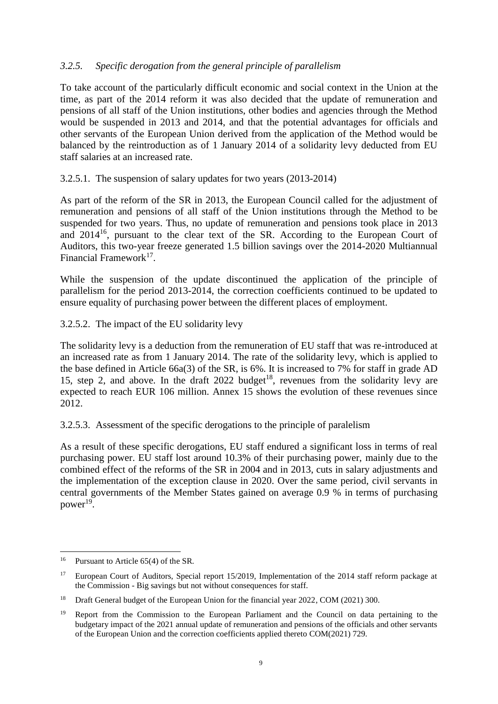# *3.2.5. Specific derogation from the general principle of parallelism*

To take account of the particularly difficult economic and social context in the Union at the time, as part of the 2014 reform it was also decided that the update of remuneration and pensions of all staff of the Union institutions, other bodies and agencies through the Method would be suspended in 2013 and 2014, and that the potential advantages for officials and other servants of the European Union derived from the application of the Method would be balanced by the reintroduction as of 1 January 2014 of a solidarity levy deducted from EU staff salaries at an increased rate.

## 3.2.5.1. The suspension of salary updates for two years (2013-2014)

As part of the reform of the SR in 2013, the European Council called for the adjustment of remuneration and pensions of all staff of the Union institutions through the Method to be suspended for two years. Thus, no update of remuneration and pensions took place in 2013 and 2014<sup>16</sup>, pursuant to the clear text of the SR. According to the European Court of Auditors, this two-year freeze generated 1.5 billion savings over the 2014-2020 Multiannual Financial Framework<sup>17</sup>.

While the suspension of the update discontinued the application of the principle of parallelism for the period 2013-2014, the correction coefficients continued to be updated to ensure equality of purchasing power between the different places of employment.

#### 3.2.5.2. The impact of the EU solidarity levy

The solidarity levy is a deduction from the remuneration of EU staff that was re-introduced at an increased rate as from 1 January 2014. The rate of the solidarity levy, which is applied to the base defined in Article 66a(3) of the SR, is 6%. It is increased to 7% for staff in grade AD 15, step 2, and above. In the draft  $2022$  budget<sup>18</sup>, revenues from the solidarity levy are expected to reach EUR 106 million. Annex 15 shows the evolution of these revenues since 2012.

## 3.2.5.3. Assessment of the specific derogations to the principle of paralelism

As a result of these specific derogations, EU staff endured a significant loss in terms of real purchasing power. EU staff lost around 10.3% of their purchasing power, mainly due to the combined effect of the reforms of the SR in 2004 and in 2013, cuts in salary adjustments and the implementation of the exception clause in 2020. Over the same period, civil servants in central governments of the Member States gained on average 0.9 % in terms of purchasing power<sup>19</sup>.

<sup>1</sup> <sup>16</sup> Pursuant to Article 65(4) of the SR.

<sup>&</sup>lt;sup>17</sup> European Court of Auditors, Special report 15/2019, Implementation of the 2014 staff reform package at the Commission - Big savings but not without consequences for staff.

<sup>&</sup>lt;sup>18</sup> Draft General budget of the European Union for the financial year 2022, COM (2021) 300.

<sup>&</sup>lt;sup>19</sup> Report from the Commission to the European Parliament and the Council on data pertaining to the budgetary impact of the 2021 annual update of remuneration and pensions of the officials and other servants of the European Union and the correction coefficients applied thereto COM(2021) 729.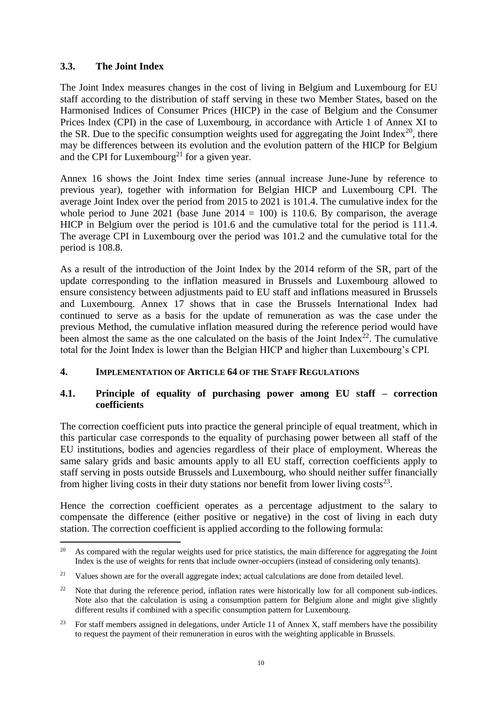# **3.3. The Joint Index**

The Joint Index measures changes in the cost of living in Belgium and Luxembourg for EU staff according to the distribution of staff serving in these two Member States, based on the Harmonised Indices of Consumer Prices (HICP) in the case of Belgium and the Consumer Prices Index (CPI) in the case of Luxembourg, in accordance with Article 1 of Annex XI to the SR. Due to the specific consumption weights used for aggregating the Joint Index<sup>20</sup>, there may be differences between its evolution and the evolution pattern of the HICP for Belgium and the CPI for Luxembourg<sup>21</sup> for a given year.

Annex 16 shows the Joint Index time series (annual increase June-June by reference to previous year), together with information for Belgian HICP and Luxembourg CPI. The average Joint Index over the period from 2015 to 2021 is 101.4. The cumulative index for the whole period to June 2021 (base June  $2014 = 100$ ) is 110.6. By comparison, the average HICP in Belgium over the period is 101.6 and the cumulative total for the period is 111.4. The average CPI in Luxembourg over the period was 101.2 and the cumulative total for the period is 108.8.

As a result of the introduction of the Joint Index by the 2014 reform of the SR, part of the update corresponding to the inflation measured in Brussels and Luxembourg allowed to ensure consistency between adjustments paid to EU staff and inflations measured in Brussels and Luxembourg. Annex 17 shows that in case the Brussels International Index had continued to serve as a basis for the update of remuneration as was the case under the previous Method, the cumulative inflation measured during the reference period would have been almost the same as the one calculated on the basis of the Joint Index<sup>22</sup>. The cumulative total for the Joint Index is lower than the Belgian HICP and higher than Luxembourg's CPI.

## **4. IMPLEMENTATION OF ARTICLE 64 OF THE STAFF REGULATIONS**

## **4.1. Principle of equality of purchasing power among EU staff – correction coefficients**

The correction coefficient puts into practice the general principle of equal treatment, which in this particular case corresponds to the equality of purchasing power between all staff of the EU institutions, bodies and agencies regardless of their place of employment. Whereas the same salary grids and basic amounts apply to all EU staff, correction coefficients apply to staff serving in posts outside Brussels and Luxembourg, who should neither suffer financially from higher living costs in their duty stations nor benefit from lower living costs $^{23}$ .

Hence the correction coefficient operates as a percentage adjustment to the salary to compensate the difference (either positive or negative) in the cost of living in each duty station. The correction coefficient is applied according to the following formula:

<sup>&</sup>lt;u>.</u> <sup>20</sup> As compared with the regular weights used for price statistics, the main difference for aggregating the Joint Index is the use of weights for rents that include owner-occupiers (instead of considering only tenants).

<sup>&</sup>lt;sup>21</sup> Values shown are for the overall aggregate index; actual calculations are done from detailed level.

<sup>&</sup>lt;sup>22</sup> Note that during the reference period, inflation rates were historically low for all component sub-indices. Note also that the calculation is using a consumption pattern for Belgium alone and might give slightly different results if combined with a specific consumption pattern for Luxembourg.

<sup>&</sup>lt;sup>23</sup> For staff members assigned in delegations, under Article 11 of Annex X, staff members have the possibility to request the payment of their remuneration in euros with the weighting applicable in Brussels.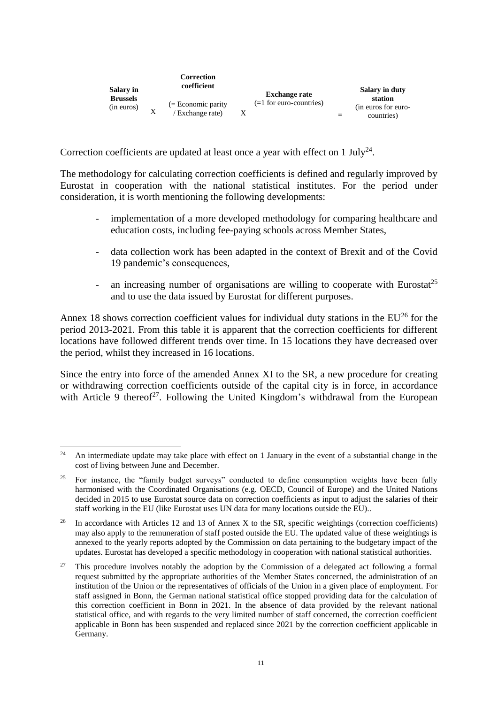| Salary in                     |   | Correction<br>coefficient               | <b>Exchange rate</b>      | <b>Salary in duty</b>                        |
|-------------------------------|---|-----------------------------------------|---------------------------|----------------------------------------------|
| <b>Brussels</b><br>(in euros) | X | $(=$ Economic parity<br>(Exchange rate) | $(=1$ for euro-countries) | station<br>(in euros for euro-<br>countries) |

Correction coefficients are updated at least once a year with effect on 1 July<sup>24</sup>.

The methodology for calculating correction coefficients is defined and regularly improved by Eurostat in cooperation with the national statistical institutes. For the period under consideration, it is worth mentioning the following developments:

- implementation of a more developed methodology for comparing healthcare and education costs, including fee-paying schools across Member States,
- data collection work has been adapted in the context of Brexit and of the Covid 19 pandemic's consequences,
- an increasing number of organisations are willing to cooperate with Eurostat<sup>25</sup> and to use the data issued by Eurostat for different purposes.

Annex 18 shows correction coefficient values for individual duty stations in the  $EU^{26}$  for the period 2013-2021. From this table it is apparent that the correction coefficients for different locations have followed different trends over time. In 15 locations they have decreased over the period, whilst they increased in 16 locations.

Since the entry into force of the amended Annex XI to the SR, a new procedure for creating or withdrawing correction coefficients outside of the capital city is in force, in accordance with Article 9 thereof<sup>27</sup>. Following the United Kingdom's withdrawal from the European

 $24$ <sup>24</sup> An intermediate update may take place with effect on 1 January in the event of a substantial change in the cost of living between June and December.

<sup>&</sup>lt;sup>25</sup> For instance, the "family budget surveys" conducted to define consumption weights have been fully harmonised with the Coordinated Organisations (e.g. OECD, Council of Europe) and the United Nations decided in 2015 to use Eurostat source data on correction coefficients as input to adjust the salaries of their staff working in the EU (like Eurostat uses UN data for many locations outside the EU)..

<sup>&</sup>lt;sup>26</sup> In accordance with Articles 12 and 13 of Annex X to the SR, specific weightings (correction coefficients) may also apply to the remuneration of staff posted outside the EU. The updated value of these weightings is annexed to the yearly reports adopted by the Commission on data pertaining to the budgetary impact of the updates. Eurostat has developed a specific methodology in cooperation with national statistical authorities.

 $27$  This procedure involves notably the adoption by the Commission of a delegated act following a formal request submitted by the appropriate authorities of the Member States concerned, the administration of an institution of the Union or the representatives of officials of the Union in a given place of employment. For staff assigned in Bonn, the German national statistical office stopped providing data for the calculation of this correction coefficient in Bonn in 2021. In the absence of data provided by the relevant national statistical office, and with regards to the very limited number of staff concerned, the correction coefficient applicable in Bonn has been suspended and replaced since 2021 by the correction coefficient applicable in Germany.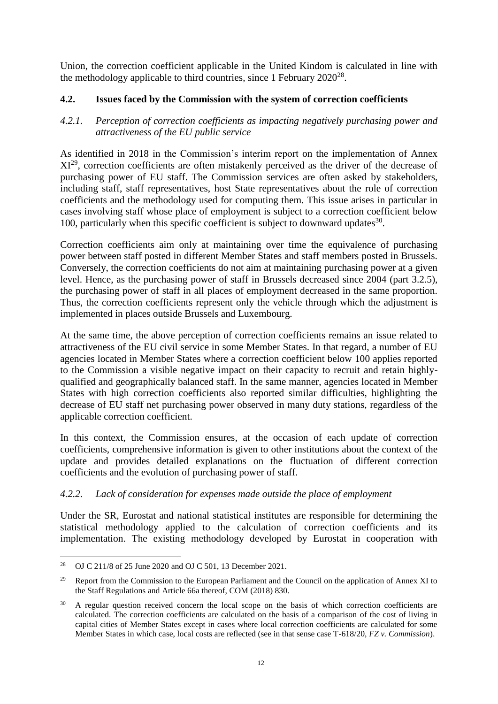Union, the correction coefficient applicable in the United Kindom is calculated in line with the methodology applicable to third countries, since 1 February 2020<sup>28</sup>.

## **4.2. Issues faced by the Commission with the system of correction coefficients**

## *4.2.1. Perception of correction coefficients as impacting negatively purchasing power and attractiveness of the EU public service*

As identified in 2018 in the Commission's interim report on the implementation of Annex XI<sup>29</sup>, correction coefficients are often mistakenly perceived as the driver of the decrease of purchasing power of EU staff. The Commission services are often asked by stakeholders, including staff, staff representatives, host State representatives about the role of correction coefficients and the methodology used for computing them. This issue arises in particular in cases involving staff whose place of employment is subject to a correction coefficient below 100, particularly when this specific coefficient is subject to downward updates $30$ .

Correction coefficients aim only at maintaining over time the equivalence of purchasing power between staff posted in different Member States and staff members posted in Brussels. Conversely, the correction coefficients do not aim at maintaining purchasing power at a given level. Hence, as the purchasing power of staff in Brussels decreased since 2004 (part 3.2.5), the purchasing power of staff in all places of employment decreased in the same proportion. Thus, the correction coefficients represent only the vehicle through which the adjustment is implemented in places outside Brussels and Luxembourg.

At the same time, the above perception of correction coefficients remains an issue related to attractiveness of the EU civil service in some Member States. In that regard, a number of EU agencies located in Member States where a correction coefficient below 100 applies reported to the Commission a visible negative impact on their capacity to recruit and retain highlyqualified and geographically balanced staff. In the same manner, agencies located in Member States with high correction coefficients also reported similar difficulties, highlighting the decrease of EU staff net purchasing power observed in many duty stations, regardless of the applicable correction coefficient.

In this context, the Commission ensures, at the occasion of each update of correction coefficients, comprehensive information is given to other institutions about the context of the update and provides detailed explanations on the fluctuation of different correction coefficients and the evolution of purchasing power of staff.

# *4.2.2. Lack of consideration for expenses made outside the place of employment*

Under the SR, Eurostat and national statistical institutes are responsible for determining the statistical methodology applied to the calculation of correction coefficients and its implementation. The existing methodology developed by Eurostat in cooperation with

<sup>1</sup> <sup>28</sup> OJ C 211/8 of 25 June 2020 and OJ C 501, 13 December 2021.

<sup>&</sup>lt;sup>29</sup> Report from the Commission to the European Parliament and the Council on the application of Annex XI to the Staff Regulations and Article 66a thereof, COM (2018) 830.

<sup>&</sup>lt;sup>30</sup> A regular question received concern the local scope on the basis of which correction coefficients are calculated. The correction coefficients are calculated on the basis of a comparison of the cost of living in capital cities of Member States except in cases where local correction coefficients are calculated for some Member States in which case, local costs are reflected (see in that sense case T-618/20, *FZ v. Commission*).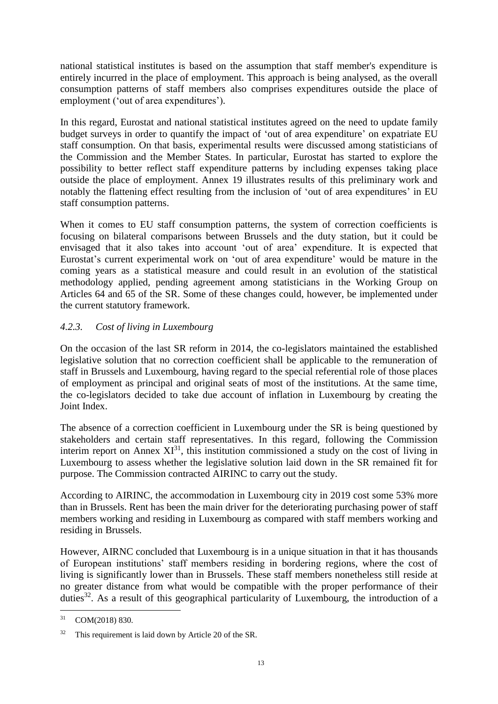national statistical institutes is based on the assumption that staff member's expenditure is entirely incurred in the place of employment. This approach is being analysed, as the overall consumption patterns of staff members also comprises expenditures outside the place of employment ('out of area expenditures').

In this regard, Eurostat and national statistical institutes agreed on the need to update family budget surveys in order to quantify the impact of 'out of area expenditure' on expatriate EU staff consumption. On that basis, experimental results were discussed among statisticians of the Commission and the Member States. In particular, Eurostat has started to explore the possibility to better reflect staff expenditure patterns by including expenses taking place outside the place of employment. Annex 19 illustrates results of this preliminary work and notably the flattening effect resulting from the inclusion of 'out of area expenditures' in EU staff consumption patterns.

When it comes to EU staff consumption patterns, the system of correction coefficients is focusing on bilateral comparisons between Brussels and the duty station, but it could be envisaged that it also takes into account 'out of area' expenditure. It is expected that Eurostat's current experimental work on 'out of area expenditure' would be mature in the coming years as a statistical measure and could result in an evolution of the statistical methodology applied, pending agreement among statisticians in the Working Group on Articles 64 and 65 of the SR. Some of these changes could, however, be implemented under the current statutory framework.

# *4.2.3. Cost of living in Luxembourg*

On the occasion of the last SR reform in 2014, the co-legislators maintained the established legislative solution that no correction coefficient shall be applicable to the remuneration of staff in Brussels and Luxembourg, having regard to the special referential role of those places of employment as principal and original seats of most of the institutions. At the same time, the co-legislators decided to take due account of inflation in Luxembourg by creating the Joint Index.

The absence of a correction coefficient in Luxembourg under the SR is being questioned by stakeholders and certain staff representatives. In this regard, following the Commission interim report on Annex  $XI^{31}$ , this institution commissioned a study on the cost of living in Luxembourg to assess whether the legislative solution laid down in the SR remained fit for purpose. The Commission contracted AIRINC to carry out the study.

According to AIRINC, the accommodation in Luxembourg city in 2019 cost some 53% more than in Brussels. Rent has been the main driver for the deteriorating purchasing power of staff members working and residing in Luxembourg as compared with staff members working and residing in Brussels.

However, AIRNC concluded that Luxembourg is in a unique situation in that it has thousands of European institutions' staff members residing in bordering regions, where the cost of living is significantly lower than in Brussels. These staff members nonetheless still reside at no greater distance from what would be compatible with the proper performance of their duties<sup>32</sup>. As a result of this geographical particularity of Luxembourg, the introduction of a

 $31$ COM(2018) 830.

<sup>32</sup> This requirement is laid down by Article 20 of the SR.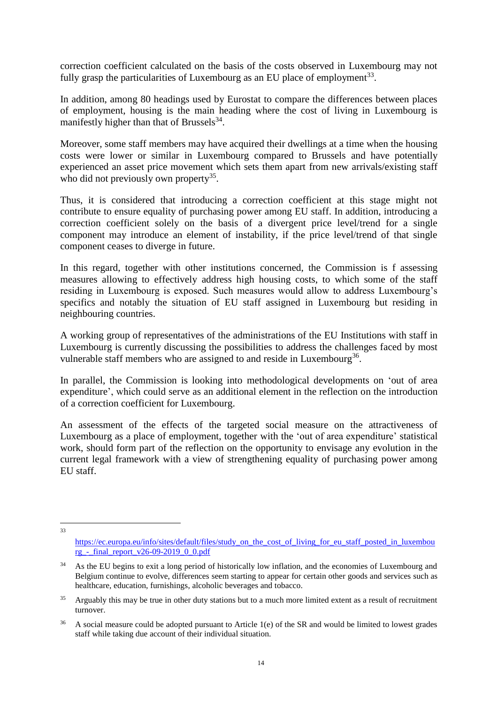correction coefficient calculated on the basis of the costs observed in Luxembourg may not fully grasp the particularities of Luxembourg as an EU place of employment<sup>33</sup>.

In addition, among 80 headings used by Eurostat to compare the differences between places of employment, housing is the main heading where the cost of living in Luxembourg is manifestly higher than that of Brussels $^{34}$ .

Moreover, some staff members may have acquired their dwellings at a time when the housing costs were lower or similar in Luxembourg compared to Brussels and have potentially experienced an asset price movement which sets them apart from new arrivals/existing staff who did not previously own property<sup>35</sup>.

Thus, it is considered that introducing a correction coefficient at this stage might not contribute to ensure equality of purchasing power among EU staff. In addition, introducing a correction coefficient solely on the basis of a divergent price level/trend for a single component may introduce an element of instability, if the price level/trend of that single component ceases to diverge in future.

In this regard, together with other institutions concerned, the Commission is f assessing measures allowing to effectively address high housing costs, to which some of the staff residing in Luxembourg is exposed. Such measures would allow to address Luxembourg's specifics and notably the situation of EU staff assigned in Luxembourg but residing in neighbouring countries.

A working group of representatives of the administrations of the EU Institutions with staff in Luxembourg is currently discussing the possibilities to address the challenges faced by most vulnerable staff members who are assigned to and reside in Luxembourg<sup>36</sup>.

In parallel, the Commission is looking into methodological developments on 'out of area expenditure', which could serve as an additional element in the reflection on the introduction of a correction coefficient for Luxembourg.

An assessment of the effects of the targeted social measure on the attractiveness of Luxembourg as a place of employment, together with the 'out of area expenditure' statistical work, should form part of the reflection on the opportunity to envisage any evolution in the current legal framework with a view of strengthening equality of purchasing power among EU staff.

 $\frac{1}{33}$ 

[https://ec.europa.eu/info/sites/default/files/study\\_on\\_the\\_cost\\_of\\_living\\_for\\_eu\\_staff\\_posted\\_in\\_luxembou](https://ec.europa.eu/info/sites/default/files/study_on_the_cost_of_living_for_eu_staff_posted_in_luxembourg_-_final_report_v26-09-2019_0_0.pdf) rg - final\_report\_v26-09-2019\_0\_0.pdf

<sup>&</sup>lt;sup>34</sup> As the EU begins to exit a long period of historically low inflation, and the economies of Luxembourg and Belgium continue to evolve, differences seem starting to appear for certain other goods and services such as healthcare, education, furnishings, alcoholic beverages and tobacco.

<sup>&</sup>lt;sup>35</sup> Arguably this may be true in other duty stations but to a much more limited extent as a result of recruitment turnover.

<sup>&</sup>lt;sup>36</sup> A social measure could be adopted pursuant to Article 1(e) of the SR and would be limited to lowest grades staff while taking due account of their individual situation.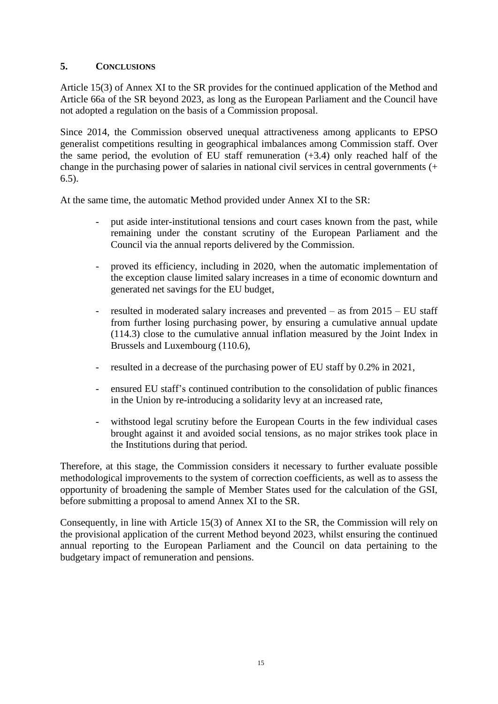# **5. CONCLUSIONS**

Article 15(3) of Annex XI to the SR provides for the continued application of the Method and Article 66a of the SR beyond 2023, as long as the European Parliament and the Council have not adopted a regulation on the basis of a Commission proposal.

Since 2014, the Commission observed unequal attractiveness among applicants to EPSO generalist competitions resulting in geographical imbalances among Commission staff. Over the same period, the evolution of EU staff remuneration (+3.4) only reached half of the change in the purchasing power of salaries in national civil services in central governments (+ 6.5).

At the same time, the automatic Method provided under Annex XI to the SR:

- put aside inter-institutional tensions and court cases known from the past, while remaining under the constant scrutiny of the European Parliament and the Council via the annual reports delivered by the Commission.
- proved its efficiency, including in 2020, when the automatic implementation of the exception clause limited salary increases in a time of economic downturn and generated net savings for the EU budget,
- resulted in moderated salary increases and prevented as from  $2015 EU$  staff from further losing purchasing power, by ensuring a cumulative annual update (114.3) close to the cumulative annual inflation measured by the Joint Index in Brussels and Luxembourg (110.6),
- resulted in a decrease of the purchasing power of EU staff by 0.2% in 2021,
- ensured EU staff's continued contribution to the consolidation of public finances in the Union by re-introducing a solidarity levy at an increased rate,
- withstood legal scrutiny before the European Courts in the few individual cases brought against it and avoided social tensions, as no major strikes took place in the Institutions during that period.

Therefore, at this stage, the Commission considers it necessary to further evaluate possible methodological improvements to the system of correction coefficients, as well as to assess the opportunity of broadening the sample of Member States used for the calculation of the GSI, before submitting a proposal to amend Annex XI to the SR.

Consequently, in line with Article 15(3) of Annex XI to the SR, the Commission will rely on the provisional application of the current Method beyond 2023, whilst ensuring the continued annual reporting to the European Parliament and the Council on data pertaining to the budgetary impact of remuneration and pensions.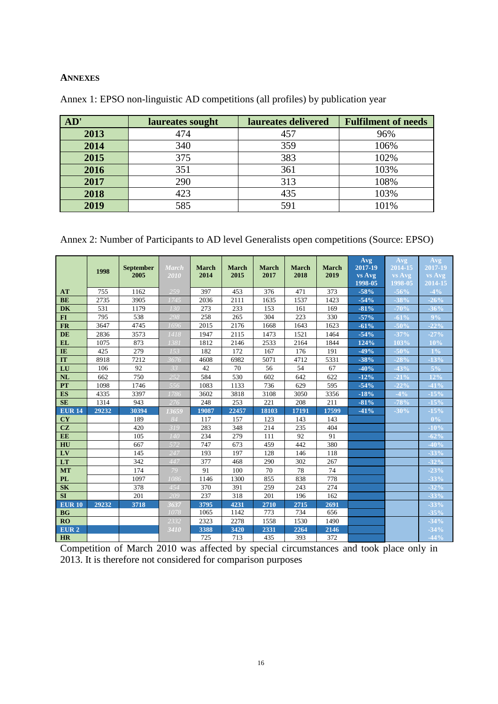#### **ANNEXES**

| AD'  | laureates sought | laureates delivered | <b>Fulfilment of needs</b> |
|------|------------------|---------------------|----------------------------|
| 2013 | 474              | 457                 | 96%                        |
| 2014 | 340              | 359                 | 106%                       |
| 2015 | 375              | 383                 | 102%                       |
| 2016 | 351              | 361                 | 103%                       |
| 2017 | 290              | 313                 | 108%                       |
| 2018 | 423              | 435                 | 103%                       |
| 2019 | 585              | 591                 | 101%                       |

Annex 1: EPSO non-linguistic AD competitions (all profiles) by publication year

Annex 2: Number of Participants to AD level Generalists open competitions (Source: EPSO)

|                  |       |                  |              |              |              |              |              |              | Avg     | Avg     | Avg         |
|------------------|-------|------------------|--------------|--------------|--------------|--------------|--------------|--------------|---------|---------|-------------|
|                  | 1998  | <b>September</b> | <b>March</b> | <b>March</b> | <b>March</b> | <b>March</b> | <b>March</b> | <b>March</b> | 2017-19 | 2014-15 | 2017-19     |
|                  |       | 2005             | 2010         | 2014         | 2015         | 2017         | 2018         | 2019         | vs Avg  | vs Avg  | vs Avg      |
|                  |       |                  |              |              |              |              |              |              | 1998-05 | 1998-05 | $2014 - 15$ |
| AT               | 755   | 1162             | 259          | 397          | 453          | 376          | 471          | 373          | $-58%$  | $-56%$  | $-4%$       |
| <b>BE</b>        | 2735  | 3905             | 1745         | 2036         | 2111         | 1635         | 1537         | 1423         | $-54%$  | $-38%$  | $-26%$      |
| <b>DK</b>        | 531   | 1179             | 130          | 273          | 233          | 153          | 161          | 169          | $-81%$  | $-70%$  | $-36%$      |
| $FI$             | 795   | 538              | 298          | 258          | 265          | 304          | 223          | 330          | $-57%$  | $-61%$  | $9\%$       |
| <b>FR</b>        | 3647  | 4745             | 1696         | 2015         | 2176         | 1668         | 1643         | 1623         | $-61%$  | $-50%$  | $-22%$      |
| <b>DE</b>        | 2836  | 3573             | 1418         | 1947         | 2115         | 1473         | 1521         | 1464         | $-54%$  | $-37%$  | $-27%$      |
| <b>EL</b>        | 1075  | 873              | 1381         | 1812         | 2146         | 2533         | 2164         | 1844         | 124%    | 103%    | 10%         |
| IE               | 425   | 279              | 153          | 182          | 172          | 167          | 176          | 191          | $-49%$  | $-50%$  | $1\%$       |
| IT               | 8918  | 7212             | 3676         | 4608         | 6982         | 5071         | 4712         | 5331         | $-38%$  | $-28%$  | $-13%$      |
| LU               | 106   | 92               | 33           | 42           | 70           | 56           | 54           | 67           | $-40%$  | $-43%$  | $5\%$       |
| <b>NL</b>        | 662   | 750              | 252          | 584          | 530          | 602          | 642          | 622          | $-12%$  | $-21%$  | 12%         |
| <b>PT</b>        | 1098  | 1746             | 556          | 1083         | 1133         | 736          | 629          | 595          | $-54%$  | $-22%$  | $-41%$      |
| <b>ES</b>        | 4335  | 3397             | 1786         | 3602         | 3818         | 3108         | 3050         | 3356         | $-18%$  | $-4%$   | $-15%$      |
| <b>SE</b>        | 1314  | 943              | 276          | 248          | 253          | 221          | 208          | 211          | $-81%$  | $-78%$  | $-15%$      |
| <b>EUR 14</b>    | 29232 | 30394            | 13659        | 19087        | 22457        | 18103        | 17191        | 17599        | $-41%$  | $-30%$  | $-15%$      |
| <b>CY</b>        |       | 189              | 84           | 117          | 157          | 123          | 143          | 143          |         |         | $0\%$       |
| CZ               |       | 420              | 319          | 283          | 348          | 214          | 235          | 404          |         |         | $-10%$      |
| EE               |       | 105              | 140          | 234          | 279          | 111          | 92           | 91           |         |         | $-62%$      |
| HU               |       | 667              | 572          | 747          | 673          | 459          | 442          | 380          |         |         | $-40%$      |
| LV               |       | 145              | 247          | 193          | 197          | 128          | 146          | 118          |         |         | $-33%$      |
| LT               |       | 342              | 447          | 377          | 468          | 290          | 302          | 267          |         |         | $-32%$      |
| <b>MT</b>        |       | 174              | 79           | 91           | 100          | 70           | 78           | 74           |         |         | $-23%$      |
| <b>PL</b>        |       | 1097             | 1086         | 1146         | 1300         | 855          | 838          | 778          |         |         | $-33%$      |
| <b>SK</b>        |       | 378              | 454          | 370          | 391          | 259          | 243          | 274          |         |         | $-32%$      |
| <b>SI</b>        |       | 201              | 209          | 237          | 318          | 201          | 196          | 162          |         |         | $-33%$      |
| <b>EUR 10</b>    | 29232 | 3718             | 3637         | 3795         | 4231         | 2710         | 2715         | 2691         |         |         | $-33%$      |
| <b>BG</b>        |       |                  | 1078         | 1065         | 1142         | 773          | 734          | 656          |         |         | $-35%$      |
| <b>RO</b>        |       |                  | 2332         | 2323         | 2278         | 1558         | 1530         | 1490         |         |         | $-34%$      |
| EUR <sub>2</sub> |       |                  | 3410         | 3388         | 3420         | 2331         | 2264         | 2146         |         |         | $-34%$      |
| <b>HR</b>        |       |                  |              | 725          | 713          | 435          | 393          | 372          |         |         | $-44%$      |

Competition of March 2010 was affected by special circumstances and took place only in 2013. It is therefore not considered for comparison purposes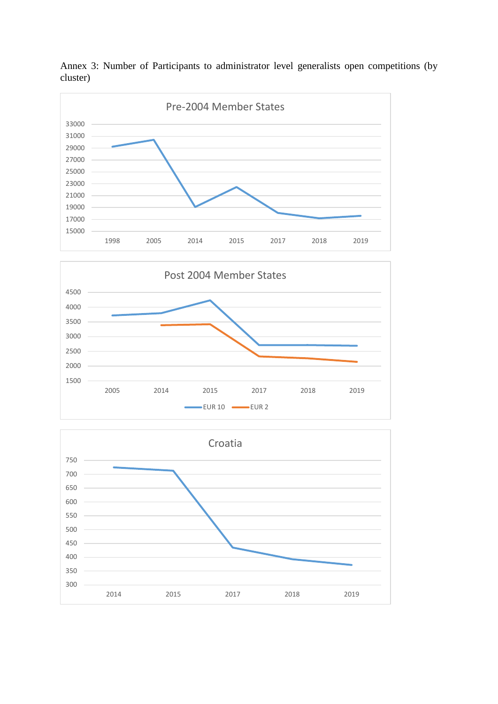

Annex 3: Number of Participants to administrator level generalists open competitions (by cluster)



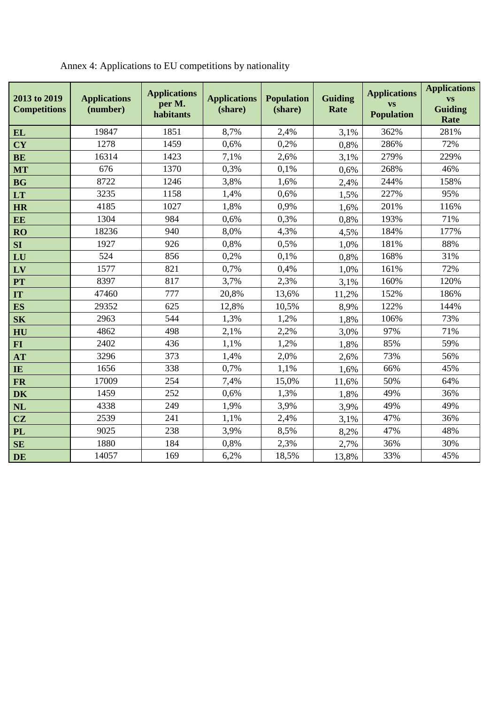| 2013 to 2019<br><b>Competitions</b> | <b>Applications</b><br>(number) | <b>Applications</b><br>per M.<br>habitants | <b>Applications</b><br>(share) | <b>Population</b><br>(share) | <b>Guiding</b><br>Rate | <b>Applications</b><br><b>VS</b><br><b>Population</b> | <b>Applications</b><br><b>VS</b><br><b>Guiding</b><br>Rate |
|-------------------------------------|---------------------------------|--------------------------------------------|--------------------------------|------------------------------|------------------------|-------------------------------------------------------|------------------------------------------------------------|
| <b>EL</b>                           | 19847                           | 1851                                       | 8,7%                           | 2,4%                         | 3,1%                   | 362%                                                  | 281%                                                       |
| <b>CY</b>                           | 1278                            | 1459                                       | 0,6%                           | 0,2%                         | 0,8%                   | 286%                                                  | 72%                                                        |
| <b>BE</b>                           | 16314                           | 1423                                       | 7,1%                           | 2,6%                         | 3,1%                   | 279%                                                  | 229%                                                       |
| <b>MT</b>                           | 676                             | 1370                                       | 0,3%                           | 0,1%                         | 0,6%                   | 268%                                                  | 46%                                                        |
| <b>BG</b>                           | 8722                            | 1246                                       | 3,8%                           | 1,6%                         | 2,4%                   | 244%                                                  | 158%                                                       |
| LT                                  | 3235                            | 1158                                       | 1,4%                           | 0.6%                         | 1,5%                   | 227%                                                  | 95%                                                        |
| <b>HR</b>                           | 4185                            | 1027                                       | 1,8%                           | 0,9%                         | 1,6%                   | 201%                                                  | 116%                                                       |
| <b>EE</b>                           | 1304                            | 984                                        | 0,6%                           | 0,3%                         | 0,8%                   | 193%                                                  | 71%                                                        |
| <b>RO</b>                           | 18236                           | 940                                        | 8,0%                           | 4,3%                         | 4,5%                   | 184%                                                  | 177%                                                       |
| <b>SI</b>                           | 1927                            | 926                                        | 0,8%                           | 0,5%                         | 1,0%                   | 181%                                                  | 88%                                                        |
| LU                                  | 524                             | 856                                        | 0,2%                           | 0,1%                         | 0,8%                   | 168%                                                  | 31%                                                        |
| LV                                  | 1577                            | 821                                        | 0,7%                           | 0,4%                         | 1,0%                   | 161%                                                  | 72%                                                        |
| PT                                  | 8397                            | 817                                        | 3,7%                           | 2,3%                         | 3,1%                   | 160%                                                  | 120%                                                       |
| IT                                  | 47460                           | 777                                        | 20,8%                          | 13,6%                        | 11,2%                  | 152%                                                  | 186%                                                       |
| <b>ES</b>                           | 29352                           | 625                                        | 12,8%                          | 10,5%                        | 8,9%                   | 122%                                                  | 144%                                                       |
| S <sub>K</sub>                      | 2963                            | 544                                        | 1,3%                           | 1,2%                         | 1,8%                   | 106%                                                  | 73%                                                        |
| HU                                  | 4862                            | 498                                        | 2,1%                           | 2,2%                         | 3,0%                   | 97%                                                   | 71%                                                        |
| <b>FI</b>                           | 2402                            | 436                                        | 1,1%                           | 1,2%                         | 1,8%                   | 85%                                                   | 59%                                                        |
| <b>AT</b>                           | 3296                            | 373                                        | 1,4%                           | 2,0%                         | 2,6%                   | 73%                                                   | 56%                                                        |
| IE                                  | 1656                            | 338                                        | 0,7%                           | 1,1%                         | 1,6%                   | 66%                                                   | 45%                                                        |
| <b>FR</b>                           | 17009                           | 254                                        | 7,4%                           | 15,0%                        | 11,6%                  | 50%                                                   | 64%                                                        |
| <b>DK</b>                           | 1459                            | 252                                        | 0,6%                           | 1,3%                         | 1,8%                   | 49%                                                   | 36%                                                        |
| NL                                  | 4338                            | 249                                        | 1,9%                           | 3,9%                         | 3,9%                   | 49%                                                   | 49%                                                        |
| CZ                                  | 2539                            | 241                                        | 1,1%                           | 2,4%                         | 3,1%                   | 47%                                                   | 36%                                                        |
| <b>PL</b>                           | 9025                            | 238                                        | 3,9%                           | 8,5%                         | 8,2%                   | 47%                                                   | 48%                                                        |
| SE                                  | 1880                            | 184                                        | 0,8%                           | 2,3%                         | 2,7%                   | 36%                                                   | 30%                                                        |
| <b>DE</b>                           | 14057                           | 169                                        | 6,2%                           | 18,5%                        | 13,8%                  | 33%                                                   | 45%                                                        |

Annex 4: Applications to EU competitions by nationality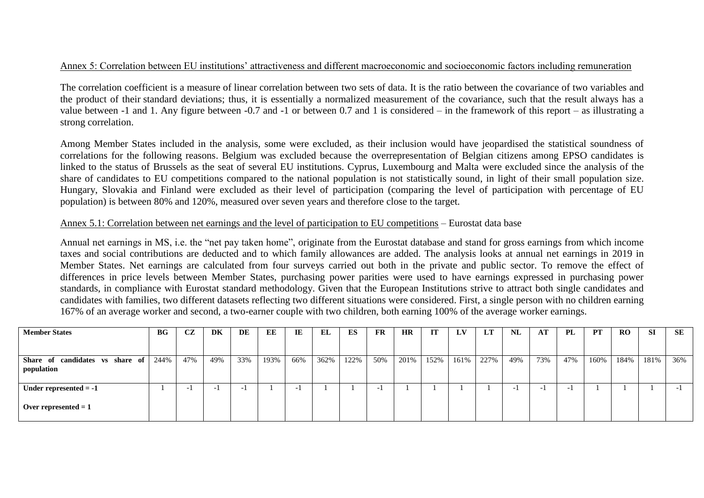#### Annex 5: Correlation between EU institutions' attractiveness and different macroeconomic and socioeconomic factors including remuneration

The correlation coefficient is a measure of [linear](https://en.wikipedia.org/wiki/Linear) [correlation](https://en.wikipedia.org/wiki/Correlation_and_dependence) between two sets of data. It is the ratio between the [covariance](https://en.wikipedia.org/wiki/Covariance) of two variables and the product of their [standard deviations;](https://en.wikipedia.org/wiki/Standard_deviation) thus, it is essentially a normalized measurement of the covariance, such that the result always has a value between -1 and 1. Any figure between -0.7 and -1 or between 0.7 and 1 is considered – in the framework of this report – as illustrating a strong correlation.

Among Member States included in the analysis, some were excluded, as their inclusion would have jeopardised the statistical soundness of correlations for the following reasons. Belgium was excluded because the overrepresentation of Belgian citizens among EPSO candidates is linked to the status of Brussels as the seat of several EU institutions. Cyprus, Luxembourg and Malta were excluded since the analysis of the share of candidates to EU competitions compared to the national population is not statistically sound, in light of their small population size. Hungary, Slovakia and Finland were excluded as their level of participation (comparing the level of participation with percentage of EU population) is between 80% and 120%, measured over seven years and therefore close to the target.

#### Annex 5.1: Correlation between net earnings and the level of participation to EU competitions – Eurostat data base

Annual net earnings in MS, i.e. the "net pay taken home", originate from the Eurostat database and stand for gross earnings from which income taxes and social contributions are deducted and to which family allowances are added. The analysis looks at annual net earnings in 2019 in Member States. Net earnings are calculated from four surveys carried out both in the private and public sector. To remove the effect of differences in price levels between Member States, purchasing power parities were used to have earnings expressed in purchasing power standards, in compliance with Eurostat standard methodology. Given that the European Institutions strive to attract both single candidates and candidates with families, two different datasets reflecting two different situations were considered. First, a single person with no children earning 167% of an average worker and second, a two-earner couple with two children, both earning 100% of the average worker earnings.

| <b>Member States</b>                             | BG   | CZ  | DK                       | DE                       | EE   | IE                       | <b>EL</b> | ES   | <b>FR</b>                | <b>HR</b> | IT   | LV   | LT   | NL                       | AT                       | PL  | <b>PT</b> | RO.  | -SI  | SE  |
|--------------------------------------------------|------|-----|--------------------------|--------------------------|------|--------------------------|-----------|------|--------------------------|-----------|------|------|------|--------------------------|--------------------------|-----|-----------|------|------|-----|
|                                                  |      |     |                          |                          |      |                          |           |      |                          |           |      |      |      |                          |                          |     |           |      |      |     |
| Share of candidates vs<br>share of<br>population | 244% | 47% | 49%                      | 33%                      | 193% | 66%                      | 362%      | 122% | 50%                      | 201%      | 152% | 161% | 227% | 49%                      | 73%                      | 47% | 160%      | 184% | 181% | 36% |
| Under represented $= -1$                         |      |     | $\overline{\phantom{0}}$ | $\overline{\phantom{0}}$ |      | $\overline{\phantom{0}}$ |           |      | $\overline{\phantom{a}}$ |           |      |      |      | $\overline{\phantom{0}}$ | $\overline{\phantom{0}}$ | -   |           |      |      | - 1 |
| Over represented $= 1$                           |      |     |                          |                          |      |                          |           |      |                          |           |      |      |      |                          |                          |     |           |      |      |     |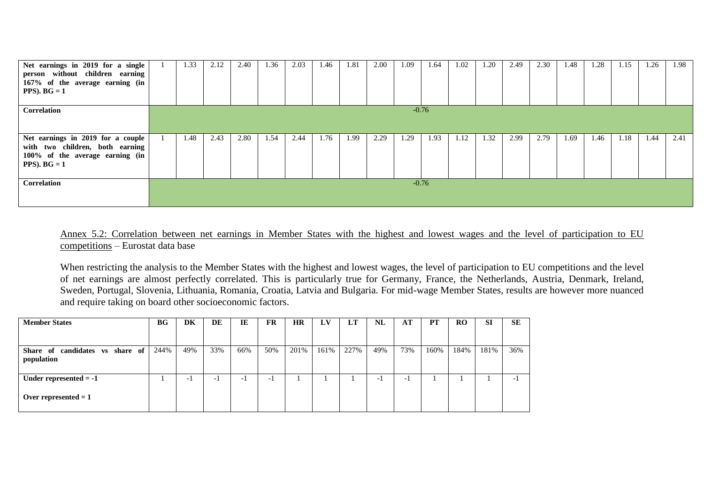| Net earnings in 2019 for a single<br>person without children earning<br>167% of the average earning (in<br>$PPS)$ . $BG = 1$ |                                                                                                                                              | 1.33 | 2.12 | 2.40 | 1.36 | 2.03 | 1.46 | 1.81 | 2.00 | 1.09 | 1.64    | 1.02 | 1.20 | 2.49 | 2.30 | 1.48 | 1.28 | 1.15 | 1.26 | 1.98 |
|------------------------------------------------------------------------------------------------------------------------------|----------------------------------------------------------------------------------------------------------------------------------------------|------|------|------|------|------|------|------|------|------|---------|------|------|------|------|------|------|------|------|------|
| Correlation                                                                                                                  |                                                                                                                                              |      |      |      |      |      |      |      |      |      | $-0.76$ |      |      |      |      |      |      |      |      |      |
|                                                                                                                              | 2.80<br>1.48<br>2.43<br>1.54<br>1.76<br>2.29<br>1.93<br>1.32<br>2.79<br>2.44<br>2.99<br>1.69<br>1.18<br>1.99<br>1.29<br>1.12<br>1.46<br>1.44 |      |      |      |      |      |      |      |      |      |         |      |      |      |      |      |      |      |      |      |
| Net earnings in 2019 for a couple<br>with two children, both earning                                                         |                                                                                                                                              |      |      |      |      |      |      |      |      |      |         |      |      |      |      |      |      |      |      | 2.41 |
| 100% of the average earning (in<br>$PPS)$ . $BG = 1$                                                                         |                                                                                                                                              |      |      |      |      |      |      |      |      |      |         |      |      |      |      |      |      |      |      |      |
|                                                                                                                              |                                                                                                                                              |      |      |      |      |      |      |      |      |      |         |      |      |      |      |      |      |      |      |      |
| Correlation                                                                                                                  |                                                                                                                                              |      |      |      |      |      |      |      |      |      | $-0.76$ |      |      |      |      |      |      |      |      |      |
|                                                                                                                              |                                                                                                                                              |      |      |      |      |      |      |      |      |      |         |      |      |      |      |      |      |      |      |      |

## Annex 5.2: Correlation between net earnings in Member States with the highest and lowest wages and the level of participation to EU competitions – Eurostat data base

When restricting the analysis to the Member States with the highest and lowest wages, the level of participation to EU competitions and the level of net earnings are almost perfectly correlated. This is particularly true for Germany, France, the Netherlands, Austria, Denmark, Ireland, Sweden, Portugal, Slovenia, Lithuania, Romania, Croatia, Latvia and Bulgaria. For mid-wage Member States, results are however more nuanced and require taking on board other socioeconomic factors.

| <b>Member States</b>                                | BG   | DK  | DE                       | IE  | <b>FR</b> | HR   | LV   | LT   | NL                       | AT  | PT   | <b>RO</b> | SI   | <b>SE</b> |
|-----------------------------------------------------|------|-----|--------------------------|-----|-----------|------|------|------|--------------------------|-----|------|-----------|------|-----------|
|                                                     |      |     |                          |     |           |      |      |      |                          |     |      |           |      |           |
| candidates vs<br>share of<br>Share of<br>population | 244% | 49% | 33%                      | 66% | 50%       | 201% | 161% | 227% | 49%                      | 73% | 160% | 184%      | 181% | 36%       |
| Under represented $= -1$                            |      | - 1 | $\overline{\phantom{0}}$ |     | - 1       |      |      |      | $\overline{\phantom{0}}$ | $-$ |      |           |      | - 1       |
| Over represented $= 1$                              |      |     |                          |     |           |      |      |      |                          |     |      |           |      |           |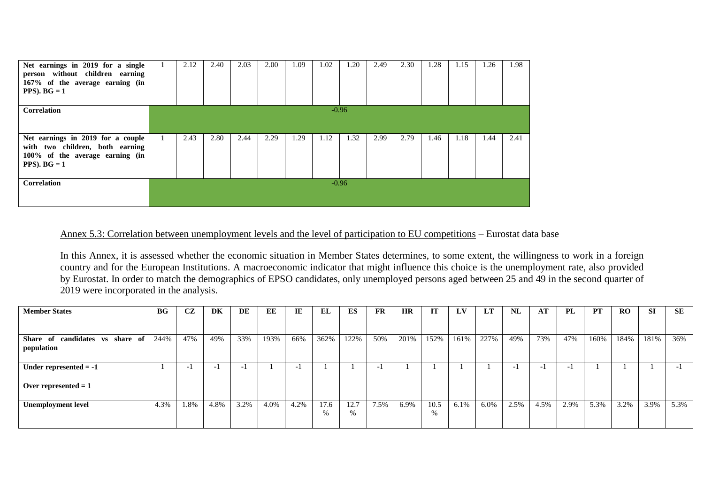| Net earnings in 2019 for a single<br>person without children earning<br>167% of the average earning (in<br>$PPS)$ . $BG = 1$ | 2.12                                                                                                            | 2.40 | 2.03 | 2.00 | 1.09 | 1.02 | 1.20    | 2.49 | 2.30 | 1.28 | 1.15 | 1.26 | 1.98 |  |
|------------------------------------------------------------------------------------------------------------------------------|-----------------------------------------------------------------------------------------------------------------|------|------|------|------|------|---------|------|------|------|------|------|------|--|
| <b>Correlation</b>                                                                                                           | $-0.96$<br>2.43<br>2.80<br>2.29<br>2.79<br>2.41<br>2.44<br>1.29<br>1.32<br>2.99<br>1.18<br>1.12<br>1.46<br>1.44 |      |      |      |      |      |         |      |      |      |      |      |      |  |
| Net earnings in 2019 for a couple<br>with two children, both earning<br>100% of the average earning (in<br>PPS). $BG = 1$    |                                                                                                                 |      |      |      |      |      |         |      |      |      |      |      |      |  |
| Correlation                                                                                                                  |                                                                                                                 |      |      |      |      |      | $-0.96$ |      |      |      |      |      |      |  |

## Annex 5.3: Correlation between unemployment levels and the level of participation to EU competitions – Eurostat data base

In this Annex, it is assessed whether the economic situation in Member States determines, to some extent, the willingness to work in a foreign country and for the European Institutions. A macroeconomic indicator that might influence this choice is the unemployment rate, also provided by Eurostat. In order to match the demographics of EPSO candidates, only unemployed persons aged between 25 and 49 in the second quarter of 2019 were incorporated in the analysis.

| <b>Member States</b>                          | BG   | CZ                       | <b>DK</b>                | DE                       | EE   | IE                       | EL        | <b>ES</b>    | <b>FR</b>                | <b>HR</b> | IT        | LV      | <b>LT</b> | NL                       | AT                       | <b>PL</b>                | <b>PT</b> | RO   | <b>SI</b> | <b>SE</b>                |
|-----------------------------------------------|------|--------------------------|--------------------------|--------------------------|------|--------------------------|-----------|--------------|--------------------------|-----------|-----------|---------|-----------|--------------------------|--------------------------|--------------------------|-----------|------|-----------|--------------------------|
|                                               |      |                          |                          |                          |      |                          |           |              |                          |           |           |         |           |                          |                          |                          |           |      |           |                          |
| Share of candidates vs share of<br>population | 244% | 47%                      | 49%                      | 33%                      | 193% | 66%                      | 362%      | 122%         | 50%                      | 201%      | 152%      | 161%    | 227%      | 49%                      | 73%                      | 47%                      | 160%      | 184% | 181%      | 36%                      |
| Under represented $= -1$                      |      | $\overline{\phantom{0}}$ | $\overline{\phantom{0}}$ | $\overline{\phantom{0}}$ |      | $\overline{\phantom{0}}$ |           |              | $\overline{\phantom{0}}$ |           |           |         |           | $\overline{\phantom{0}}$ | $\overline{\phantom{a}}$ | $\overline{\phantom{0}}$ |           |      |           | $\overline{\phantom{0}}$ |
| Over represented $= 1$                        |      |                          |                          |                          |      |                          |           |              |                          |           |           |         |           |                          |                          |                          |           |      |           |                          |
| <b>Unemployment level</b>                     | 4.3% | 1.8%                     | 4.8%                     | 3.2%                     | 4.0% | 4.2%                     | 17.6<br>% | 12.7<br>$\%$ | 7.5%                     | 6.9%      | 10.5<br>% | $6.1\%$ | 6.0%      | 2.5%                     | 4.5%                     | 2.9%                     | 5.3%      | 3.2% | 3.9%      | 5.3%                     |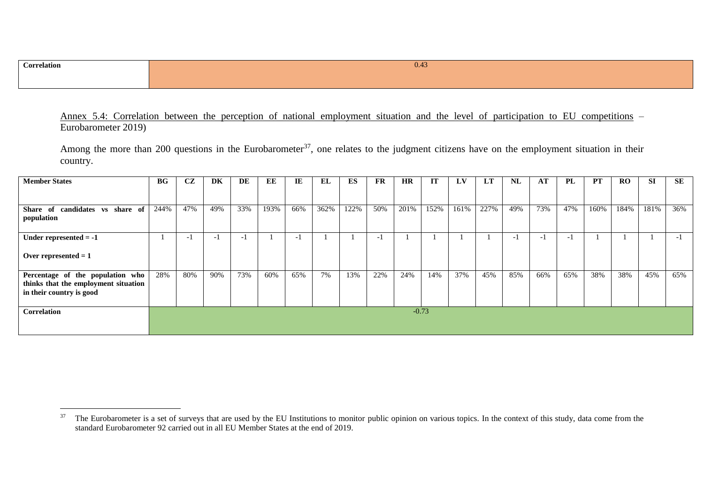$\overline{a}$ 

Annex 5.4: Correlation between the perception of national employment situation and the level of participation to EU competitions – Eurobarometer 2019)

Among the more than 200 questions in the Eurobarometer<sup>37</sup>, one relates to the judgment citizens have on the employment situation in their country.

| <b>Member States</b>                                                                                 | BG   | CZ   | DK  | <b>DE</b> | EE   | IE  | EL   | ES   | FR  | <b>HR</b> | <b>IT</b> | LV   | <b>LT</b> | NL   | AT  | <b>PL</b> | <b>PT</b> | <b>RO</b> | <b>SI</b> | <b>SE</b> |
|------------------------------------------------------------------------------------------------------|------|------|-----|-----------|------|-----|------|------|-----|-----------|-----------|------|-----------|------|-----|-----------|-----------|-----------|-----------|-----------|
|                                                                                                      |      |      |     |           |      |     |      |      |     |           |           |      |           |      |     |           |           |           |           |           |
| Share of candidates vs share of<br>population                                                        | 244% | 47%  | 49% | 33%       | 193% | 66% | 362% | 122% | 50% | 201%      | 152%      | 161% | 227%      | 49%  | 73% | 47%       | 160%      | 184%      | 181%      | 36%       |
| Under represented $= -1$                                                                             |      | $-1$ |     | $-1$      |      | - 1 |      |      | - 1 |           |           |      |           | $-1$ | - 1 | - 1       |           |           |           | $-1$      |
| Over represented $= 1$                                                                               |      |      |     |           |      |     |      |      |     |           |           |      |           |      |     |           |           |           |           |           |
| Percentage of the population who<br>thinks that the employment situation<br>in their country is good | 28%  | 80%  | 90% | 73%       | 60%  | 65% | 7%   | 13%  | 22% | 24%       | 14%       | 37%  | 45%       | 85%  | 66% | 65%       | 38%       | 38%       | 45%       | 65%       |
| Correlation                                                                                          |      |      |     |           |      |     |      |      |     |           | $-0.73$   |      |           |      |     |           |           |           |           |           |

<sup>&</sup>lt;sup>37</sup> The Eurobarometer is a set of surveys that are used by the EU Institutions to monitor public opinion on various topics. In the context of this study, data come from the standard Eurobarometer 92 carried out in all EU Member States at the end of 2019.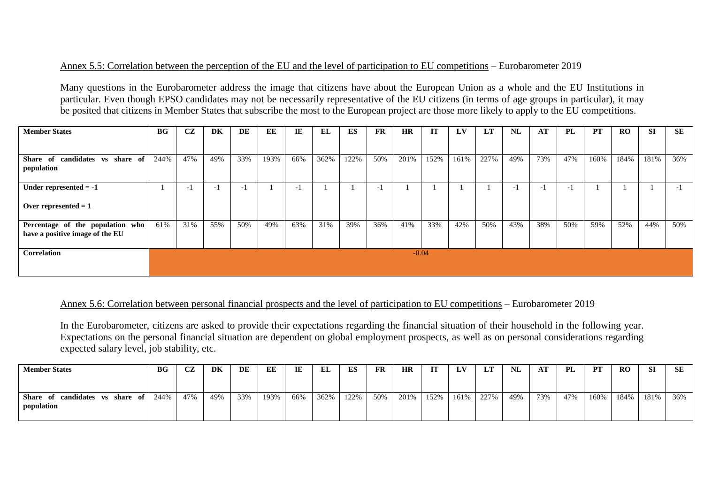#### Annex 5.5: Correlation between the perception of the EU and the level of participation to EU competitions – Eurobarometer 2019

Many questions in the Eurobarometer address the image that citizens have about the European Union as a whole and the EU Institutions in particular. Even though EPSO candidates may not be necessarily representative of the EU citizens (in terms of age groups in particular), it may be posited that citizens in Member States that subscribe the most to the European project are those more likely to apply to the EU competitions.

| <b>Member States</b>                                                | $\bf{B}$ <b>G</b> | CZ  | <b>DK</b> | DE  | EE   | IE                       | EL   | <b>ES</b> | <b>FR</b> | <b>HR</b> | IT      | LV   | LT   | NL   | AT             | <b>PL</b>                | <b>PT</b> | <b>RO</b> | <b>SI</b> | SE   |
|---------------------------------------------------------------------|-------------------|-----|-----------|-----|------|--------------------------|------|-----------|-----------|-----------|---------|------|------|------|----------------|--------------------------|-----------|-----------|-----------|------|
|                                                                     |                   |     |           |     |      |                          |      |           |           |           |         |      |      |      |                |                          |           |           |           |      |
| Share of candidates vs<br>share of<br>population                    | 244%              | 47% | 49%       | 33% | 193% | 66%                      | 362% | 122%      | 50%       | 201%      | 152%    | 161% | 227% | 49%  | 73%            | 47%                      | 160%      | 184%      | 181%      | 36%  |
| Under represented $= -1$                                            |                   | - 1 | - 1       | - 1 |      | $\overline{\phantom{0}}$ |      |           | $\sim$    |           |         |      |      | $-1$ | $\overline{a}$ | $\overline{\phantom{0}}$ |           |           |           | $-1$ |
| Over represented $= 1$                                              |                   |     |           |     |      |                          |      |           |           |           |         |      |      |      |                |                          |           |           |           |      |
| Percentage of the population who<br>have a positive image of the EU | 61%               | 31% | 55%       | 50% | 49%  | 63%                      | 31%  | 39%       | 36%       | 41%       | 33%     | 42%  | 50%  | 43%  | 38%            | 50%                      | 59%       | 52%       | 44%       | 50%  |
| Correlation                                                         |                   |     |           |     |      |                          |      |           |           |           | $-0.04$ |      |      |      |                |                          |           |           |           |      |
|                                                                     |                   |     |           |     |      |                          |      |           |           |           |         |      |      |      |                |                          |           |           |           |      |

#### Annex 5.6: Correlation between personal financial prospects and the level of participation to EU competitions – Eurobarometer 2019

In the Eurobarometer, citizens are asked to provide their expectations regarding the financial situation of their household in the following year. Expectations on the personal financial situation are dependent on global employment prospects, as well as on personal considerations regarding expected salary level, job stability, etc.

| <b>Member States</b>                          | <b>BG</b> | СZ  | DK  | DE  | EE   | IE  | EL   | ES   | FR  | HR   | IT   | LV   | LT   | NL  | AT  | PL  | PТ   | <b>RO</b> | SI   | SE  |
|-----------------------------------------------|-----------|-----|-----|-----|------|-----|------|------|-----|------|------|------|------|-----|-----|-----|------|-----------|------|-----|
| Share of candidates vs share of<br>population | 244%      | 47% | 49% | 33% | 193% | 66% | 362% | 122% | 50% | 201% | 152% | 161% | 227% | 49% | 73% | 47% | 160% | 184%      | 181% | 36% |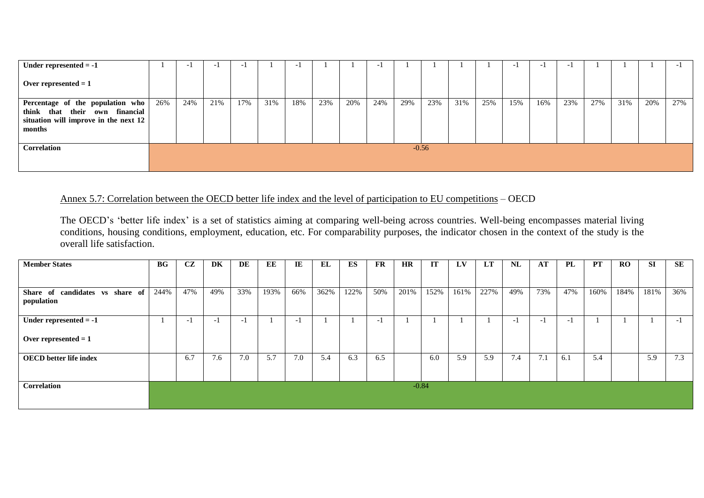| Under represented $= -1$                                                                                                       |     | $\overline{\phantom{0}}$ | -   | <b>-</b> |     | $\overline{\phantom{0}}$ |     |     | $\overline{\phantom{0}}$ |     |         |     |     | $\overline{\phantom{0}}$ | $\overline{\phantom{0}}$ |     |     |     |     | $\overline{\phantom{0}}$ |
|--------------------------------------------------------------------------------------------------------------------------------|-----|--------------------------|-----|----------|-----|--------------------------|-----|-----|--------------------------|-----|---------|-----|-----|--------------------------|--------------------------|-----|-----|-----|-----|--------------------------|
| Over represented $= 1$                                                                                                         |     |                          |     |          |     |                          |     |     |                          |     |         |     |     |                          |                          |     |     |     |     |                          |
| Percentage of the population who<br>their<br>financial<br>think that<br>own<br>situation will improve in the next 12<br>months | 26% | 24%                      | 21% | 17%      | 31% | 18%                      | 23% | 20% | 24%                      | 29% | 23%     | 31% | 25% | 15%                      | 16%                      | 23% | 27% | 31% | 20% | 27%                      |
| Correlation                                                                                                                    |     |                          |     |          |     |                          |     |     |                          |     | $-0.56$ |     |     |                          |                          |     |     |     |     |                          |

# Annex 5.7: Correlation between the OECD better life index and the level of participation to EU competitions – OECD

The OECD's 'better life index' is a set of statistics aiming at comparing well-being across countries. Well-being encompasses material living conditions, housing conditions, employment, education, etc. For comparability purposes, the indicator chosen in the context of the study is the overall life satisfaction.

| <b>Member States</b>                          | BG   | CZ  | DK  | DE  | EE   | IE  | EL   | <b>ES</b> | <b>FR</b> | <b>HR</b> | <b>IT</b> | LV   | <b>LT</b> | NL  | AT  | <b>PL</b>      | <b>PT</b> | <b>RO</b> | <b>SI</b> | SE   |
|-----------------------------------------------|------|-----|-----|-----|------|-----|------|-----------|-----------|-----------|-----------|------|-----------|-----|-----|----------------|-----------|-----------|-----------|------|
|                                               |      |     |     |     |      |     |      |           |           |           |           |      |           |     |     |                |           |           |           |      |
| Share of candidates vs share of<br>population | 244% | 47% | 49% | 33% | 193% | 66% | 362% | 122%      | 50%       | 201%      | 152%      | 161% | 227%      | 49% | 73% | 47%            | 160%      | 184%      | 181%      | 36%  |
| Under represented $= -1$                      |      | - 1 | - 1 | - 1 |      | - 1 |      |           | - 1       |           |           |      |           | - 1 | -1  | $\overline{a}$ |           |           |           | $-1$ |
| Over represented $= 1$                        |      |     |     |     |      |     |      |           |           |           |           |      |           |     |     |                |           |           |           |      |
| <b>OECD</b> better life index                 |      | 6.7 | 7.6 | 7.0 | 5.7  | 7.0 | 5.4  | 6.3       | 6.5       |           | 6.0       | 5.9  | 5.9       | 7.4 | 7.1 | 6.1            | 5.4       |           | 5.9       | 7.3  |
| Correlation                                   |      |     |     |     |      |     |      |           |           |           | $-0.84$   |      |           |     |     |                |           |           |           |      |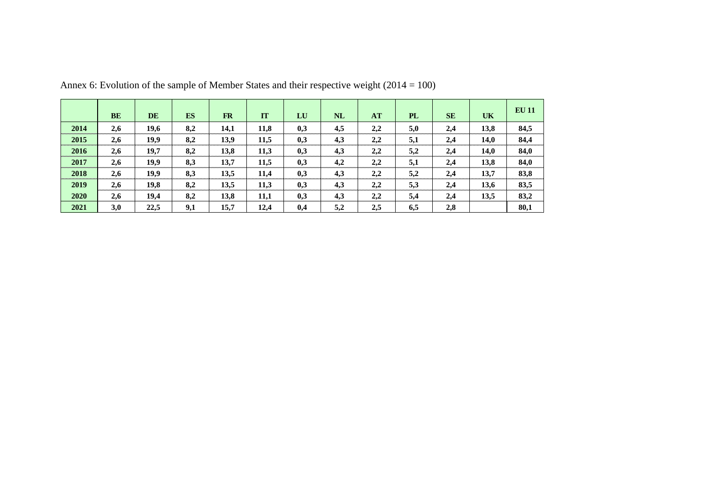|      | <b>BE</b> | <b>DE</b> | <b>ES</b> | <b>FR</b> | IT   | LU  | <b>NL</b> | AT  | <b>PL</b> | <b>SE</b> | <b>UK</b> | <b>EU 11</b> |
|------|-----------|-----------|-----------|-----------|------|-----|-----------|-----|-----------|-----------|-----------|--------------|
| 2014 | 2,6       | 19,6      | 8,2       | 14,1      | 11,8 | 0,3 | 4,5       | 2,2 | 5,0       | 2,4       | 13,8      | 84,5         |
| 2015 | 2,6       | 19,9      | 8,2       | 13,9      | 11,5 | 0,3 | 4,3       | 2,2 | 5,1       | 2,4       | 14,0      | 84,4         |
| 2016 | 2,6       | 19,7      | 8,2       | 13,8      | 11,3 | 0,3 | 4,3       | 2,2 | 5,2       | 2,4       | 14,0      | 84,0         |
| 2017 | 2,6       | 19,9      | 8,3       | 13,7      | 11,5 | 0,3 | 4,2       | 2,2 | 5,1       | 2,4       | 13,8      | 84,0         |
| 2018 | 2,6       | 19,9      | 8,3       | 13,5      | 11,4 | 0,3 | 4,3       | 2,2 | 5,2       | 2,4       | 13,7      | 83,8         |
| 2019 | 2,6       | 19,8      | 8,2       | 13,5      | 11,3 | 0,3 | 4,3       | 2,2 | 5,3       | 2,4       | 13,6      | 83,5         |
| 2020 | 2,6       | 19,4      | 8,2       | 13,8      | 11,1 | 0,3 | 4,3       | 2,2 | 5,4       | 2,4       | 13,5      | 83,2         |
| 2021 | 3,0       | 22,5      | 9,1       | 15,7      | 12,4 | 0,4 | 5,2       | 2,5 | 6,5       | 2,8       |           | 80,1         |

Annex 6: Evolution of the sample of Member States and their respective weight  $(2014 = 100)$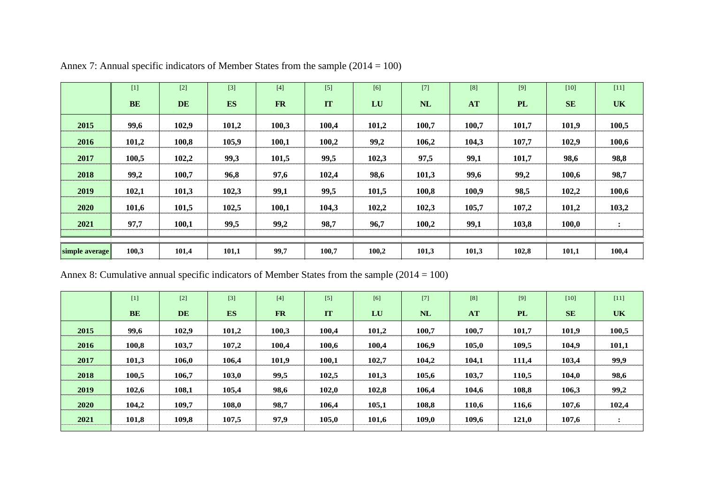|                | $[1]$     | $[2]$     | $[3]$     | $[4]$     | $[5]$ | [6]   | $[7]$ | [8]   | [9]       | $[10]$    | $[11]$         |
|----------------|-----------|-----------|-----------|-----------|-------|-------|-------|-------|-----------|-----------|----------------|
|                | <b>BE</b> | <b>DE</b> | <b>ES</b> | <b>FR</b> | IT    | LU    | NL    | AT    | <b>PL</b> | <b>SE</b> | <b>UK</b>      |
| 2015           | 99,6      | 102,9     | 101,2     | 100,3     | 100,4 | 101,2 | 100,7 | 100,7 | 101,7     | 101,9     | 100,5          |
| 2016           | 101,2     | 100,8     | 105,9     | 100,1     | 100,2 | 99,2  | 106,2 | 104,3 | 107,7     | 102,9     | 100,6          |
| 2017           | 100,5     | 102,2     | 99,3      | 101,5     | 99,5  | 102,3 | 97,5  | 99,1  | 101,7     | 98,6      | 98,8           |
| 2018           | 99,2      | 100,7     | 96,8      | 97,6      | 102,4 | 98,6  | 101,3 | 99,6  | 99,2      | 100,6     | 98,7           |
| 2019           | 102,1     | 101,3     | 102,3     | 99,1      | 99,5  | 101,5 | 100,8 | 100,9 | 98,5      | 102,2     | 100,6          |
| 2020           | 101,6     | 101,5     | 102,5     | 100,1     | 104,3 | 102,2 | 102,3 | 105,7 | 107,2     | 101,2     | 103,2          |
| 2021           | 97,7      | 100,1     | 99,5      | 99,2      | 98,7  | 96,7  | 100,2 | 99,1  | 103,8     | 100,0     | $\ddot{\cdot}$ |
|                |           |           |           |           |       |       |       |       |           |           |                |
| simple average | 100,3     | 101,4     | 101,1     | 99,7      | 100,7 | 100,2 | 101,3 | 101,3 | 102,8     | 101,1     | 100,4          |

Annex 7: Annual specific indicators of Member States from the sample (2014 = 100)

Annex 8: Cumulative annual specific indicators of Member States from the sample (2014 = 100)

|      | $[1]$     | $[2]$     | $[3]$     | $[4]$     | $[5]$     | [6]   | $[7]$     | [8]   | $[9]$     | $[10]$    | $[11]$         |
|------|-----------|-----------|-----------|-----------|-----------|-------|-----------|-------|-----------|-----------|----------------|
|      | <b>BE</b> | <b>DE</b> | <b>ES</b> | <b>FR</b> | <b>IT</b> | LU    | <b>NL</b> | AT    | <b>PL</b> | <b>SE</b> | <b>UK</b>      |
| 2015 | 99,6      | 102,9     | 101,2     | 100,3     | 100,4     | 101,2 | 100,7     | 100,7 | 101,7     | 101,9     | 100,5          |
| 2016 | 100,8     | 103,7     | 107,2     | 100,4     | 100,6     | 100,4 | 106,9     | 105,0 | 109,5     | 104,9     | 101,1          |
| 2017 | 101,3     | 106,0     | 106,4     | 101,9     | 100,1     | 102,7 | 104,2     | 104,1 | 111,4     | 103,4     | 99,9           |
| 2018 | 100.5     | 106,7     | 103,0     | 99,5      | 102,5     | 101,3 | 105,6     | 103,7 | 110,5     | 104,0     | 98,6           |
| 2019 | 102.6     | 108,1     | 105,4     | 98,6      | 102,0     | 102,8 | 106,4     | 104,6 | 108,8     | 106,3     | 99,2           |
| 2020 | 104,2     | 109,7     | 108,0     | 98,7      | 106,4     | 105,1 | 108,8     | 110,6 | 116,6     | 107,6     | 102,4          |
| 2021 | 101,8     | 109,8     | 107,5     | 97,9      | 105,0     | 101,6 | 109,0     | 109,6 | 121,0     | 107,6     | $\ddot{\cdot}$ |
|      |           |           |           |           |           |       |           |       |           |           |                |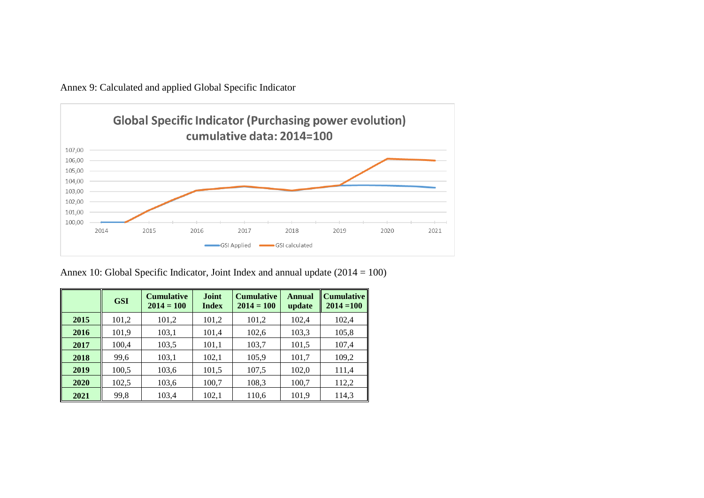Annex 9: Calculated and applied Global Specific Indicator



Annex 10: Global Specific Indicator, Joint Index and annual update (2014 = 100)

|      | <b>GSI</b> | <b>Cumulative</b><br>$2014 = 100$ | <b>Joint</b><br><b>Index</b> | <b>Cumulative</b><br>$2014 = 100$ | <b>Annual</b><br>update | Cumulative   <br>$2014 = 100$ |
|------|------------|-----------------------------------|------------------------------|-----------------------------------|-------------------------|-------------------------------|
| 2015 | 101,2      | 101,2                             | 101,2                        | 101,2                             | 102,4                   | 102,4                         |
| 2016 | 101,9      | 103,1                             | 101,4                        | 102,6                             | 103.3                   | 105,8                         |
| 2017 | 100,4      | 103,5                             | 101,1                        | 103,7                             | 101,5                   | 107,4                         |
| 2018 | 99,6       | 103,1                             | 102,1                        | 105,9                             | 101,7                   | 109,2                         |
| 2019 | 100,5      | 103,6                             | 101,5                        | 107,5                             | 102,0                   | 111,4                         |
| 2020 | 102,5      | 103,6                             | 100,7                        | 108,3                             | 100,7                   | 112,2                         |
| 2021 | 99,8       | 103,4                             | 102,1                        | 110.6                             | 101,9                   | 114,3                         |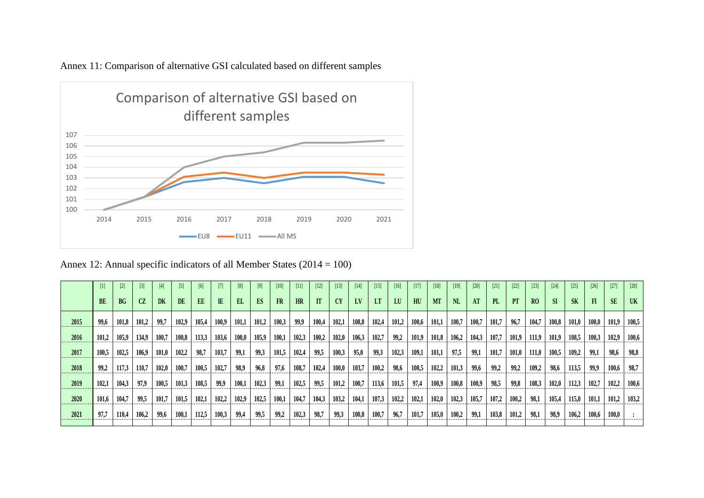

Annex 11: Comparison of alternative GSI calculated based on different samples

Annex 12: Annual specific indicators of all Member States (2014 = 100)

|      |           | $[2]$ | $[3]$ | [4]       | $[5]$ | [6]   | [7]          | [8]   | $[9]$ | $[10]$ | [11]      | $[12]$ | $[13]$ | $[14]$ | $[15]$    | [16]  | $[17]$ | [18]      | $[19]$ | $[20]$ | $[21]$ | $[22]$    | $[23]$         | $[24]$    | $[25]$    | $[26]$       | $[27]$    | $[28]$    |
|------|-----------|-------|-------|-----------|-------|-------|--------------|-------|-------|--------|-----------|--------|--------|--------|-----------|-------|--------|-----------|--------|--------|--------|-----------|----------------|-----------|-----------|--------------|-----------|-----------|
|      | <b>BE</b> | BG    | CZ    | <b>DK</b> | DE    | EE    | $\mathbb{E}$ | EL.   | ES    | FR     | <b>HR</b> | IT     |        | LV     | <b>LT</b> | LU    | HU     | <b>MT</b> | NL     | AT     | PL     | <b>PT</b> | R <sub>0</sub> | <b>SI</b> | <b>SK</b> | $\mathbf{F}$ | <b>SE</b> | <b>UK</b> |
| 2015 | 99.6      | 101,8 | 101,2 | 99.7      | 102.9 | 105.4 | 100.9        | 101.1 | 101.2 | 100,3  | 99.9      | 100.4  | 102.1  | 108.8  | 102,4     | 101,2 | 100,6  | 101.1     | 100.7  | 100,7  | 101,7  | 96.7      | 104.7          | 100,8     | 101.0     | 100.0        | 101,9     | 100,5     |
| 2016 | 101,2     | 105,9 | 134,9 | 100,7     | 100,8 | 113,3 | 103,6        | 100,0 | 105,9 | 100,1  | 102,3     | 100,2  | 102,0  | 106,3  | 102,7     | 99,2  | 101,9  | 101,8     | 106,2  | 104,3  | 107,7  | 101,9     | 111,9          | 101,9     | 108,5     | 100,3        | 102,9     | 100,6     |
| 2017 | 100.5     | 102,5 | 106.9 | 101,0     | 102,2 | 98,7  | 103.7        | 99,1  | 99.3  | 101,5  | 102,4     | 99.5   | 100,3  | 95,0   | 99,3      | 102.3 | 109,1  | 101,1     | 97,5   | 99,1   | 101,7  | 101,0     | 111,0          | 100,5     | 109.2     | 99,1         | 98,6      | 98,8      |
| 2018 | 99.2      | 117,3 | 110.7 | 102.0     | 100,7 | 100,5 | 102,7        | 98.9  | 96.8  | 97.6   | 108,7     | 102.4  | 100,0  | 103,7  | 100,2     | 98.6  | 100,5  | 102,2     | 101.3  | 99,6   | 99.2   | 99.2      | 109,2          | 98.6      | 113,5     | 99,9         | 100,6     | 98,7      |
| 2019 | 102,1     | 104,3 | 97.9  | 100,5     | 101,3 | 108,5 | 99,9         | 100,1 | 102,3 | 99,1   | 102,5     | 99,5   | 101,2  | 100,7  | 113,6     | 101,5 | 97,4   | 100,9     | 100,8  | 100.9  | 98.5   | 99,8      | 108,3          | 102,0     | 112,3     | 102,7        | 102,2     | 100,6     |
| 2020 | 101.6     | 104.7 | 99.5  | 101.7     | 101,5 | 102.1 | 102.2        | 102.9 | 102,5 | 100.1  | 104.7     | 104.3  | 103,2  | 104,1  | 107.3     | 102,2 | 102,1  | 102,0     | 102.3  | 105,7  | 107,2  | 100,2     | 98,1           | 105,4     | 115.0     | 101,1        | 101,2     | 103,2     |
| 2021 | 97.7      | 110,4 | 106,2 | 99,6      | 100,1 | 112,5 | 100,3        | 99,4  | 99,5  | 99,2   | 102,3     | 98,7   | 99.3   | 100,8  | 100,7     | 96,7  | 101,7  | 105,0     | 100.2  | 99,1   | 103,8  | 101,2     | 98,1           | 98,9      | 106,2     | 100,6        | 100,0     |           |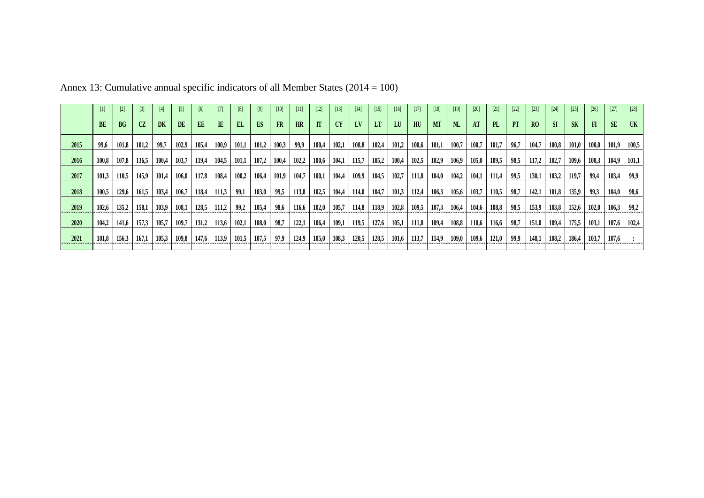|      |           |       | $\lceil 3 \rceil$ | [4]       | $[5]$     | [6]       |              | [8]   |           | [10]  |       | $[12]$ | $[13]$    | $[14]$ | $[15]$ | $[16]$ | $[17]$ | $[18]$    | [19]      | [20]  | [21]  | $[22]$ | $[23]$ | $[24]$    | $[25]$    | $[26]$ | $[27]$    | $[28]$ |
|------|-----------|-------|-------------------|-----------|-----------|-----------|--------------|-------|-----------|-------|-------|--------|-----------|--------|--------|--------|--------|-----------|-----------|-------|-------|--------|--------|-----------|-----------|--------|-----------|--------|
|      | <b>BE</b> | BG    | CZ                | <b>DK</b> | <b>DE</b> | <b>EE</b> | $\mathbb{E}$ | EL.   | <b>ES</b> | FR    | HR    | IT     | <b>CY</b> | LV     | LT     | LU     | HU     | <b>MT</b> | <b>NL</b> | AT    | PL    | PT     | RO     | <b>SI</b> | <b>SK</b> | F1     | <b>SE</b> | UK     |
| 2015 | 99.6      | 101,8 | 101,2             | 99.7      | 102,9     | 105.4     | 100.9        | 101.1 | 101,2     | 100,3 | 99.9  | 100.4  | 102,1     | 108,8  | 102,4  | 101,2  | 100,6  | 101,1     | 100.7     | 100,7 | 101,7 | 96.7   | 104.7  | 100,8     | 101,0     | 100.0  | 101,9     | 100,5  |
| 2016 | 100.8     | 107,8 | 136,5             | 100.4     | 103,7     | 119.4     | 104,5        | 101,1 | 107,2     | 100,4 | 102,2 | 100,6  | 104,1     | 115,7  | 105,2  | 100,4  | 102,5  | 102,9     | 106,9     | 105,0 | 109,5 | 98,5   | 117,2  | 102,7     | 109,6     | 100,3  | 104,9     | 101,1  |
| 2017 | 101,3     | 110,5 | 145,9             | 101,4     | 106,0     | 117,8     | 108,4        | 100,2 | 106,4     | 101,9 | 104,7 | 100,1  | 104,4     | 109,9  | 104,5  | 102,7  | 111,8  | 104,0     | 104,2     | 104,1 | 111,4 | 99,5   | 130,1  | 103,2     | 119,7     | 99,4   | 103,4     | 99,9   |
| 2018 | 100,5     | 129,6 | 161.5             | 103.4     | 106.7     | 118.4     | 111,3        | 99,1  | 103,0     | 99,5  | 113,8 | 102,5  | 104,4     | 114,0  | 104,7  | 101,3  | 112,4  | 106,3     | 105,6     | 103,7 | 110,5 | 98,7   | 142.1  | 101,8     | 135,9     | 99,3   | 104,0     | 98,6   |
| 2019 | 102.6     | 135.2 | 158.1             | 103,9     | 108,1     | 128,5     | 111.2        | 99.2  | 105,4     | 98,6  | 116.6 | 102.0  | 105,7     | 114,8  | 118,9  | 102.8  | 109.5  | 107.3     | 106,4     | 104,6 | 108,8 | 98,5   | 153,9  | 103,8     | 152,6     | 102.0  | 106,3     | 99,2   |
| 2020 | 104.2     | 141,6 | 157,3             | 105.7     | 109,7     | 131,2     | 113,6        | 102,1 | 108,0     | 98,7  | 122,1 | 106,4  | 109,1     | 119,5  | 127,6  | 105,1  | 111,8  | 109,4     | 108,8     | 110,6 | 116,6 | 98,7   | 151,0  | 109,4     | 175,5     | 103,1  | 107.6     | 102,4  |
| 2021 | 101,8     | 156,3 | 167,1             | 105,3     | 109,8     | 147,6     | 113,9        | 101,5 | 107,5     | 97,9  | 124,9 | 105,0  | 108,3     | 120,5  | 128,5  | 101,6  | 113,7  | 114,9     | 109,0     | 109,6 | 121,0 | 99,9   | 148,1  | 108,2     | 186,4     | 103,7  | 107,6     |        |
|      |           |       |                   |           |           |           |              |       |           |       |       |        |           |        |        |        |        |           |           |       |       |        |        |           |           |        |           |        |

Annex 13: Cumulative annual specific indicators of all Member States (2014 = 100)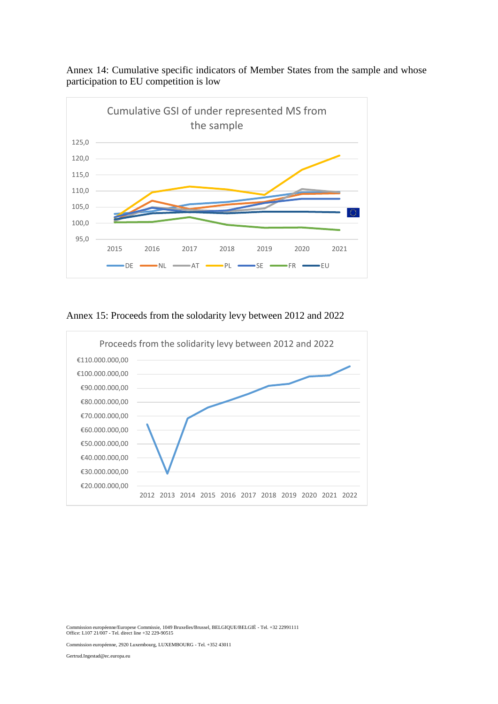

Annex 14: Cumulative specific indicators of Member States from the sample and whose participation to EU competition is low

Annex 15: Proceeds from the solodarity levy between 2012 and 2022



Commission européenne/Europese Commissie, 1049 Bruxelles/Brussel, BELGIQUE/BELGIË - Tel. +32 22991111 Office: L107 21/007 - Tel. direct line +32 229-90515

Commission européenne, 2920 Luxembourg, LUXEMBOURG - Tel. +352 43011

Gertrud.Ingestad@ec.europa.eu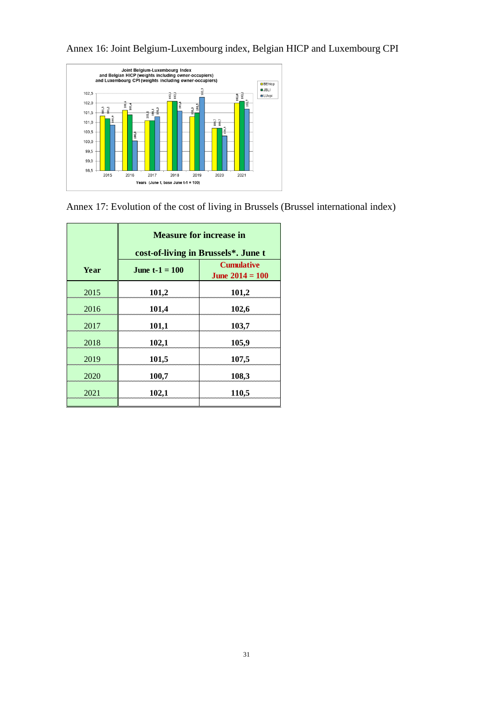

Annex 16: Joint Belgium-Luxembourg index, Belgian HICP and Luxembourg CPI

Annex 17: Evolution of the cost of living in Brussels (Brussel international index)

|      |                       | <b>Measure for increase in</b><br>cost-of-living in Brussels*. June t |  |  |  |  |  |  |  |  |  |  |  |
|------|-----------------------|-----------------------------------------------------------------------|--|--|--|--|--|--|--|--|--|--|--|
| Year | <b>June t-1 = 100</b> | <b>Cumulative</b><br>June $2014 = 100$                                |  |  |  |  |  |  |  |  |  |  |  |
| 2015 | 101,2<br>101,2        |                                                                       |  |  |  |  |  |  |  |  |  |  |  |
| 2016 | 101,4<br>102,6        |                                                                       |  |  |  |  |  |  |  |  |  |  |  |
| 2017 | 101,1                 | 103,7                                                                 |  |  |  |  |  |  |  |  |  |  |  |
| 2018 | 102,1                 | 105,9                                                                 |  |  |  |  |  |  |  |  |  |  |  |
| 2019 | 101,5                 | 107,5                                                                 |  |  |  |  |  |  |  |  |  |  |  |
| 2020 | 100,7                 | 108,3                                                                 |  |  |  |  |  |  |  |  |  |  |  |
| 2021 | 102,1                 | 110,5                                                                 |  |  |  |  |  |  |  |  |  |  |  |
|      |                       |                                                                       |  |  |  |  |  |  |  |  |  |  |  |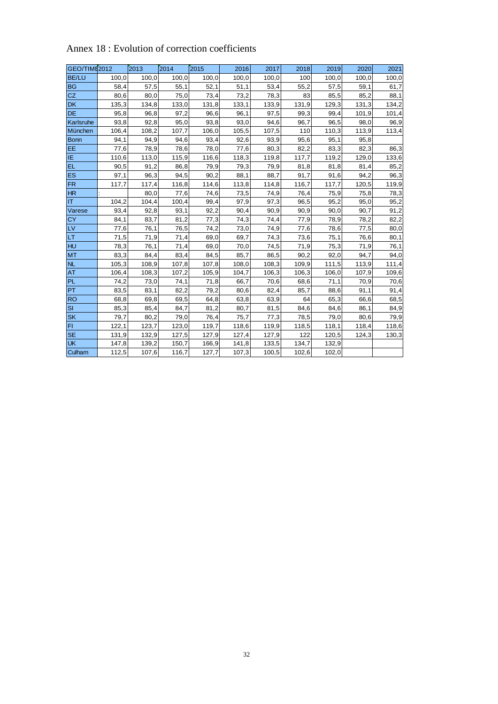| GEO/TIME2012   |       | 2013  | 2014  | 2015  | 2016  | 2017  | 2018  | 2019  | 2020  | 2021  |
|----------------|-------|-------|-------|-------|-------|-------|-------|-------|-------|-------|
| <b>BE/LU</b>   | 100,0 | 100,0 | 100,0 | 100,0 | 100,0 | 100,0 | 100   | 100,0 | 100,0 | 100,0 |
| <b>BG</b>      | 58,4  | 57,5  | 55,1  | 52,1  | 51,1  | 53,4  | 55,2  | 57,5  | 59,1  | 61,7  |
| <b>CZ</b>      | 80,6  | 80,0  | 75,0  | 73,4  | 73,2  | 78,3  | 83    | 85,5  | 85,2  | 88,1  |
| <b>DK</b>      | 135,3 | 134,8 | 133,0 | 131,8 | 133,1 | 133,9 | 131,9 | 129,3 | 131,3 | 134,2 |
| DE             | 95,8  | 96,8  | 97,2  | 96,6  | 96,1  | 97,5  | 99,3  | 99,4  | 101,9 | 101,4 |
| Karlsruhe      | 93,8  | 92,8  | 95,0  | 93,8  | 93,0  | 94,6  | 96,7  | 96,5  | 98,0  | 96,9  |
| München        | 106,4 | 108,2 | 107,7 | 106,0 | 105,5 | 107,5 | 110   | 110,3 | 113,9 | 113,4 |
| <b>Bonn</b>    | 94,1  | 94,9  | 94,6  | 93,4  | 92,6  | 93,9  | 95,6  | 95,1  | 95,8  |       |
| EE             | 77,6  | 78,9  | 78,6  | 78,0  | 77,6  | 80,3  | 82,2  | 83,3  | 82,3  | 86,3  |
| IE             | 110,6 | 113,0 | 115,9 | 116,6 | 118,3 | 119,8 | 117,7 | 119,2 | 129,0 | 133,6 |
| EL             | 90,5  | 91,2  | 86,8  | 79,9  | 79,3  | 79,9  | 81,8  | 81,8  | 81,4  | 85,2  |
| ES             | 97,1  | 96,3  | 94,5  | 90,2  | 88,1  | 88,7  | 91,7  | 91,6  | 94,2  | 96,3  |
| <b>FR</b>      | 117,7 | 117,4 | 116,8 | 114,6 | 113,8 | 114,8 | 116,7 | 117,7 | 120,5 | 119,9 |
| H <sub>R</sub> |       | 80,0  | 77,6  | 74,6  | 73,5  | 74,9  | 76,4  | 75,9  | 75,8  | 78,3  |
| IT             | 104,2 | 104,4 | 100,4 | 99,4  | 97,9  | 97,3  | 96,5  | 95,2  | 95,0  | 95,2  |
| Varese         | 93,4  | 92,8  | 93,1  | 92,2  | 90,4  | 90,9  | 90,9  | 90,0  | 90,7  | 91,2  |
| <b>CY</b>      | 84,1  | 83,7  | 81,2  | 77,3  | 74,3  | 74,4  | 77,9  | 78,9  | 78,2  | 82,2  |
| LV             | 77,6  | 76,1  | 76,5  | 74,2  | 73,0  | 74,9  | 77,6  | 78,6  | 77,5  | 80,0  |
| LT             | 71,5  | 71,9  | 71,4  | 69,0  | 69,7  | 74,3  | 73,6  | 75,1  | 76,6  | 80,1  |
| HU             | 78,3  | 76,1  | 71,4  | 69,0  | 70,0  | 74,5  | 71,9  | 75,3  | 71,9  | 76,1  |
| <b>MT</b>      | 83,3  | 84,4  | 83,4  | 84,5  | 85,7  | 86,5  | 90,2  | 92,0  | 94,7  | 94,0  |
| NL             | 105,3 | 108,9 | 107,8 | 107,8 | 108,0 | 108,3 | 109,9 | 111,5 | 113,9 | 111,4 |
| <b>AT</b>      | 106,4 | 108,3 | 107,2 | 105,9 | 104,7 | 106,3 | 106,3 | 106,0 | 107,9 | 109,6 |
| <b>PL</b>      | 74,2  | 73,0  | 74,1  | 71,8  | 66,7  | 70,6  | 68,6  | 71,1  | 70,9  | 70,6  |
| PT             | 83,5  | 83,1  | 82,2  | 79,2  | 80,6  | 82,4  | 85,7  | 88,6  | 91,1  | 91,4  |
| <b>RO</b>      | 68,8  | 69,8  | 69,5  | 64,8  | 63,8  | 63,9  | 64    | 65,3  | 66,6  | 68,5  |
| SI             | 85,3  | 85,4  | 84,7  | 81,2  | 80,7  | 81,5  | 84,6  | 84,6  | 86,1  | 84,9  |
| <b>SK</b>      | 79,7  | 80,2  | 79,0  | 76,4  | 75,7  | 77,3  | 78,5  | 79,0  | 80,6  | 79,9  |
| FI             | 122,1 | 123,7 | 123,0 | 119,7 | 118,6 | 119,9 | 118,5 | 118,1 | 118,4 | 118,6 |
| <b>SE</b>      | 131,9 | 132,9 | 127,5 | 127,9 | 127,4 | 127,9 | 122   | 120,5 | 124,3 | 130,3 |
| <b>UK</b>      | 147,8 | 139,2 | 150,7 | 166,9 | 141,8 | 133,5 | 134,7 | 132,9 |       |       |
| Culham         | 112,5 | 107,6 | 116,7 | 127,7 | 107,3 | 100,5 | 102,6 | 102,0 |       |       |

#### Annex 18 : Evolution of correction coefficients